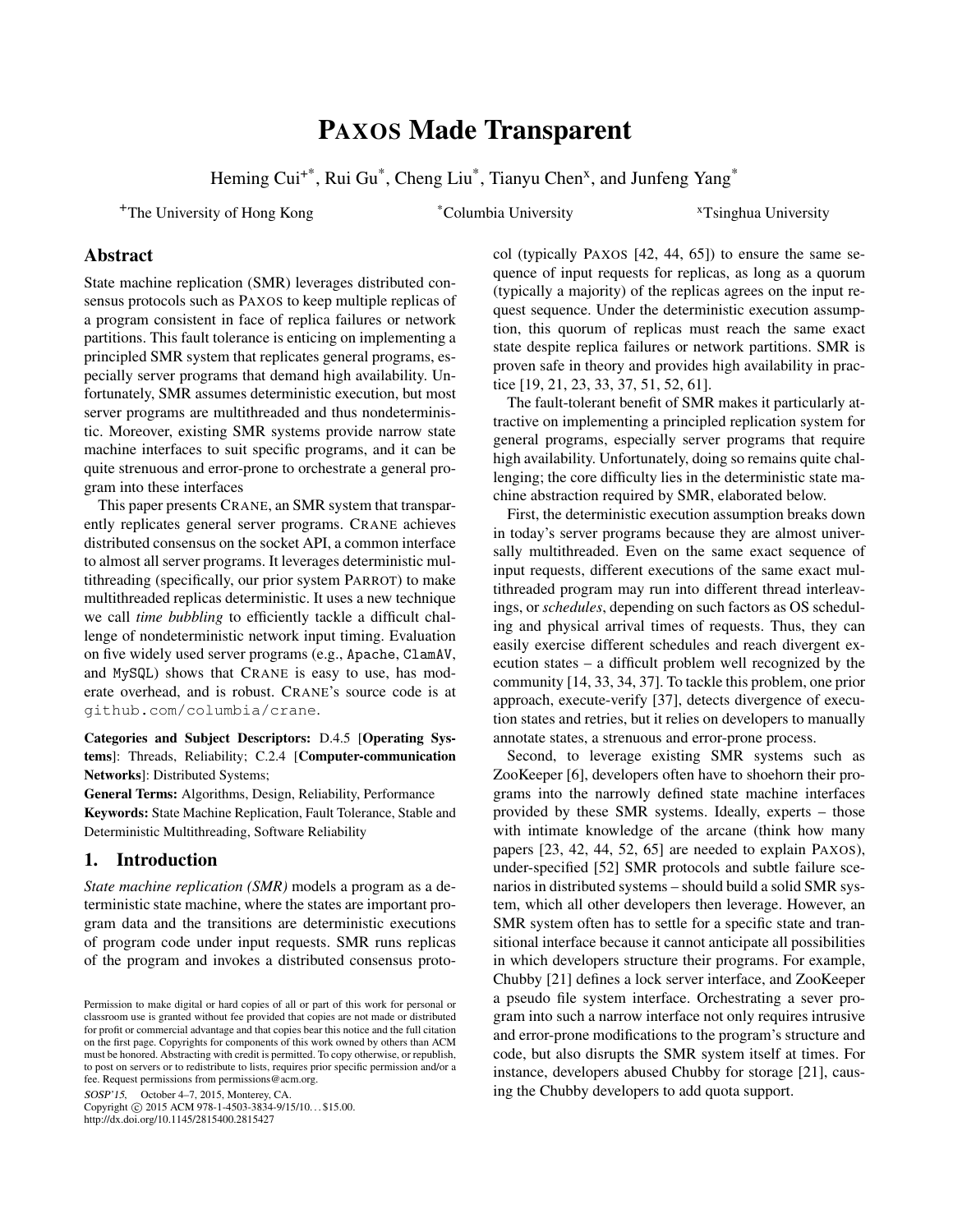# PAXOS Made Transparent

Heming Cui<sup>+\*</sup>, Rui Gu<sup>\*</sup>, Cheng Liu<sup>\*</sup>, Tianyu Chen<sup>x</sup>, and Junfeng Yang<sup>\*</sup>

<sup>+</sup>The University of Hong Kong \*Columbia University <sup>x</sup>Tsinghua University

# Abstract

State machine replication (SMR) leverages distributed consensus protocols such as PAXOS to keep multiple replicas of a program consistent in face of replica failures or network partitions. This fault tolerance is enticing on implementing a principled SMR system that replicates general programs, especially server programs that demand high availability. Unfortunately, SMR assumes deterministic execution, but most server programs are multithreaded and thus nondeterministic. Moreover, existing SMR systems provide narrow state machine interfaces to suit specific programs, and it can be quite strenuous and error-prone to orchestrate a general program into these interfaces

This paper presents CRANE, an SMR system that transparently replicates general server programs. CRANE achieves distributed consensus on the socket API, a common interface to almost all server programs. It leverages deterministic multithreading (specifically, our prior system PARROT) to make multithreaded replicas deterministic. It uses a new technique we call *time bubbling* to efficiently tackle a difficult challenge of nondeterministic network input timing. Evaluation on five widely used server programs (e.g., Apache, ClamAV, and MySQL) shows that CRANE is easy to use, has moderate overhead, and is robust. CRANE's source code is at <github.com/columbia/crane>.

Categories and Subject Descriptors: D.4.5 [Operating Systems]: Threads, Reliability; C.2.4 [Computer-communication Networks]: Distributed Systems;

General Terms: Algorithms, Design, Reliability, Performance Keywords: State Machine Replication, Fault Tolerance, Stable and Deterministic Multithreading, Software Reliability

# 1. Introduction

*State machine replication (SMR)* models a program as a deterministic state machine, where the states are important program data and the transitions are deterministic executions of program code under input requests. SMR runs replicas of the program and invokes a distributed consensus proto-

SOSP'15, October 4–7, 2015, Monterey, CA.

Copyright © 2015 ACM 978-1-4503-3834-9/15/10... \$15.00. http://dx.doi.org/10.1145/2815400.2815427

col (typically PAXOS [\[42,](#page-14-0) [44,](#page-14-1) [65\]](#page-14-2)) to ensure the same sequence of input requests for replicas, as long as a quorum (typically a majority) of the replicas agrees on the input request sequence. Under the deterministic execution assumption, this quorum of replicas must reach the same exact state despite replica failures or network partitions. SMR is proven safe in theory and provides high availability in practice [\[19,](#page-13-0) [21,](#page-13-1) [23,](#page-13-2) [33,](#page-13-3) [37,](#page-14-3) [51,](#page-14-4) [52,](#page-14-5) [61\]](#page-14-6).

The fault-tolerant benefit of SMR makes it particularly attractive on implementing a principled replication system for general programs, especially server programs that require high availability. Unfortunately, doing so remains quite challenging; the core difficulty lies in the deterministic state machine abstraction required by SMR, elaborated below.

First, the deterministic execution assumption breaks down in today's server programs because they are almost universally multithreaded. Even on the same exact sequence of input requests, different executions of the same exact multithreaded program may run into different thread interleavings, or *schedules*, depending on such factors as OS scheduling and physical arrival times of requests. Thus, they can easily exercise different schedules and reach divergent execution states – a difficult problem well recognized by the community [\[14,](#page-13-4) [33,](#page-13-3) [34,](#page-13-5) [37\]](#page-14-3). To tackle this problem, one prior approach, execute-verify [\[37\]](#page-14-3), detects divergence of execution states and retries, but it relies on developers to manually annotate states, a strenuous and error-prone process.

Second, to leverage existing SMR systems such as ZooKeeper [\[6\]](#page-12-0), developers often have to shoehorn their programs into the narrowly defined state machine interfaces provided by these SMR systems. Ideally, experts – those with intimate knowledge of the arcane (think how many papers [\[23,](#page-13-2) [42,](#page-14-0) [44,](#page-14-1) [52,](#page-14-5) [65\]](#page-14-2) are needed to explain PAXOS), under-specified [\[52\]](#page-14-5) SMR protocols and subtle failure scenarios in distributed systems – should build a solid SMR system, which all other developers then leverage. However, an SMR system often has to settle for a specific state and transitional interface because it cannot anticipate all possibilities in which developers structure their programs. For example, Chubby [\[21\]](#page-13-1) defines a lock server interface, and ZooKeeper a pseudo file system interface. Orchestrating a sever program into such a narrow interface not only requires intrusive and error-prone modifications to the program's structure and code, but also disrupts the SMR system itself at times. For instance, developers abused Chubby for storage [\[21\]](#page-13-1), causing the Chubby developers to add quota support.

Permission to make digital or hard copies of all or part of this work for personal or classroom use is granted without fee provided that copies are not made or distributed for profit or commercial advantage and that copies bear this notice and the full citation on the first page. Copyrights for components of this work owned by others than ACM must be honored. Abstracting with credit is permitted. To copy otherwise, or republish, to post on servers or to redistribute to lists, requires prior specific permission and/or a fee. Request permissions from permissions@acm.org.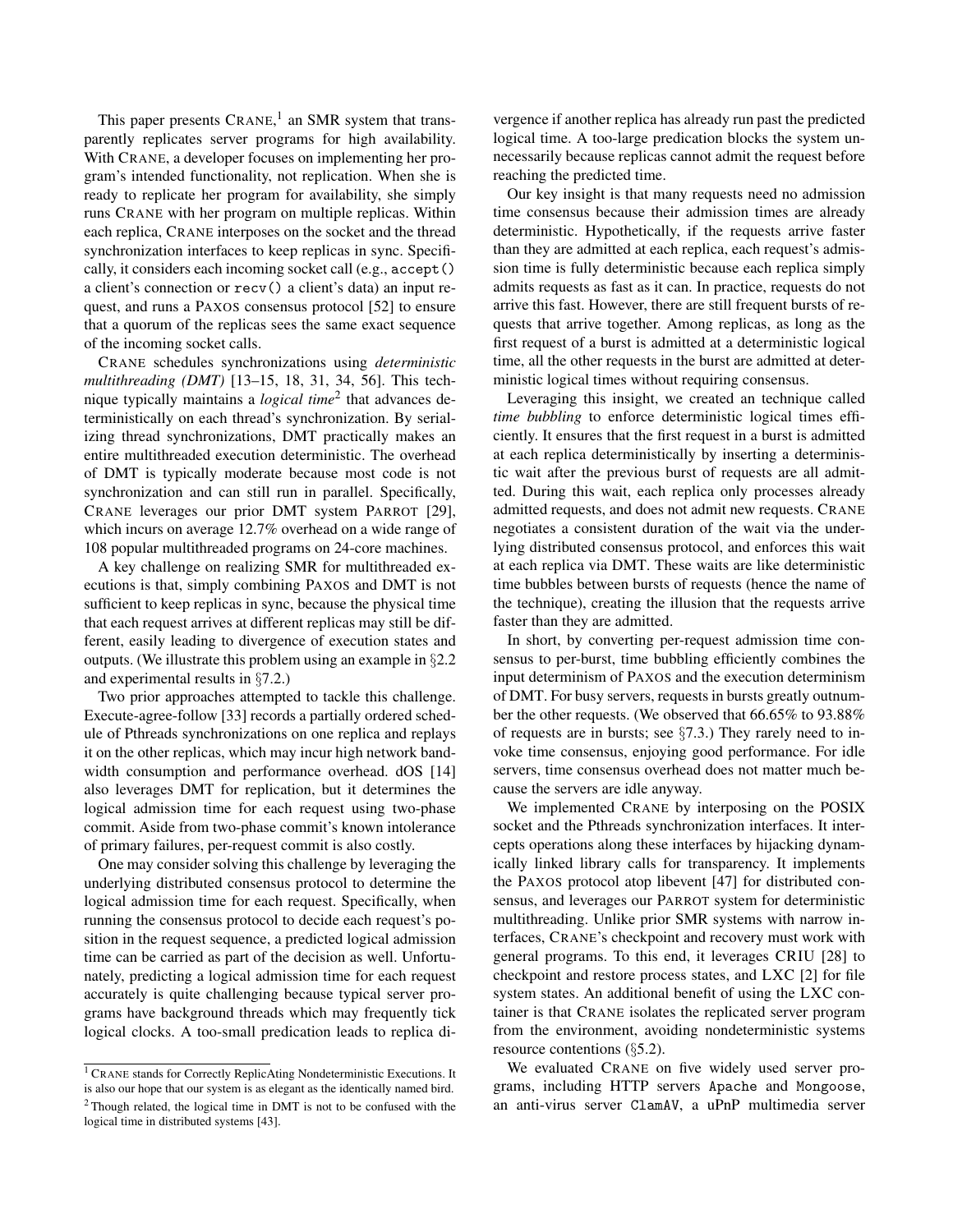This paper presents CRANE,<sup>[1](#page-1-0)</sup> an SMR system that transparently replicates server programs for high availability. With CRANE, a developer focuses on implementing her program's intended functionality, not replication. When she is ready to replicate her program for availability, she simply runs CRANE with her program on multiple replicas. Within each replica, CRANE interposes on the socket and the thread synchronization interfaces to keep replicas in sync. Specifically, it considers each incoming socket call (e.g., accept() a client's connection or recv() a client's data) an input request, and runs a PAXOS consensus protocol [\[52\]](#page-14-5) to ensure that a quorum of the replicas sees the same exact sequence of the incoming socket calls.

CRANE schedules synchronizations using *deterministic multithreading (DMT)* [\[13–](#page-13-6)[15,](#page-13-7) [18,](#page-13-8) [31,](#page-13-9) [34,](#page-13-5) [56\]](#page-14-7). This technique typically maintains a *logical time*[2](#page-1-1) that advances deterministically on each thread's synchronization. By serializing thread synchronizations, DMT practically makes an entire multithreaded execution deterministic. The overhead of DMT is typically moderate because most code is not synchronization and can still run in parallel. Specifically, CRANE leverages our prior DMT system PARROT [\[29\]](#page-13-10), which incurs on average 12.7% overhead on a wide range of 108 popular multithreaded programs on 24-core machines.

A key challenge on realizing SMR for multithreaded executions is that, simply combining PAXOS and DMT is not sufficient to keep replicas in sync, because the physical time that each request arrives at different replicas may still be different, easily leading to divergence of execution states and outputs. (We illustrate this problem using an example in §[2.2](#page-3-0) and experimental results in §[7.2.](#page-9-0))

Two prior approaches attempted to tackle this challenge. Execute-agree-follow [\[33\]](#page-13-3) records a partially ordered schedule of Pthreads synchronizations on one replica and replays it on the other replicas, which may incur high network band-width consumption and performance overhead. dOS [\[14\]](#page-13-4) also leverages DMT for replication, but it determines the logical admission time for each request using two-phase commit. Aside from two-phase commit's known intolerance of primary failures, per-request commit is also costly.

One may consider solving this challenge by leveraging the underlying distributed consensus protocol to determine the logical admission time for each request. Specifically, when running the consensus protocol to decide each request's position in the request sequence, a predicted logical admission time can be carried as part of the decision as well. Unfortunately, predicting a logical admission time for each request accurately is quite challenging because typical server programs have background threads which may frequently tick logical clocks. A too-small predication leads to replica di-

vergence if another replica has already run past the predicted logical time. A too-large predication blocks the system unnecessarily because replicas cannot admit the request before reaching the predicted time.

Our key insight is that many requests need no admission time consensus because their admission times are already deterministic. Hypothetically, if the requests arrive faster than they are admitted at each replica, each request's admission time is fully deterministic because each replica simply admits requests as fast as it can. In practice, requests do not arrive this fast. However, there are still frequent bursts of requests that arrive together. Among replicas, as long as the first request of a burst is admitted at a deterministic logical time, all the other requests in the burst are admitted at deterministic logical times without requiring consensus.

Leveraging this insight, we created an technique called *time bubbling* to enforce deterministic logical times efficiently. It ensures that the first request in a burst is admitted at each replica deterministically by inserting a deterministic wait after the previous burst of requests are all admitted. During this wait, each replica only processes already admitted requests, and does not admit new requests. CRANE negotiates a consistent duration of the wait via the underlying distributed consensus protocol, and enforces this wait at each replica via DMT. These waits are like deterministic time bubbles between bursts of requests (hence the name of the technique), creating the illusion that the requests arrive faster than they are admitted.

In short, by converting per-request admission time consensus to per-burst, time bubbling efficiently combines the input determinism of PAXOS and the execution determinism of DMT. For busy servers, requests in bursts greatly outnumber the other requests. (We observed that 66.65% to 93.88% of requests are in bursts; see §[7.3.](#page-9-1)) They rarely need to invoke time consensus, enjoying good performance. For idle servers, time consensus overhead does not matter much because the servers are idle anyway.

We implemented CRANE by interposing on the POSIX socket and the Pthreads synchronization interfaces. It intercepts operations along these interfaces by hijacking dynamically linked library calls for transparency. It implements the PAXOS protocol atop libevent [\[47\]](#page-14-9) for distributed consensus, and leverages our PARROT system for deterministic multithreading. Unlike prior SMR systems with narrow interfaces, CRANE's checkpoint and recovery must work with general programs. To this end, it leverages CRIU [\[28\]](#page-13-11) to checkpoint and restore process states, and LXC [\[2\]](#page-12-1) for file system states. An additional benefit of using the LXC container is that CRANE isolates the replicated server program from the environment, avoiding nondeterministic systems resource contentions (§[5.2\)](#page-7-0).

We evaluated CRANE on five widely used server programs, including HTTP servers Apache and Mongoose, an anti-virus server ClamAV, a uPnP multimedia server

<span id="page-1-1"></span><span id="page-1-0"></span><sup>1</sup> CRANE stands for Correctly ReplicAting Nondeterministic Executions. It is also our hope that our system is as elegant as the identically named bird. <sup>2</sup> Though related, the logical time in DMT is not to be confused with the logical time in distributed systems [\[43\]](#page-14-8).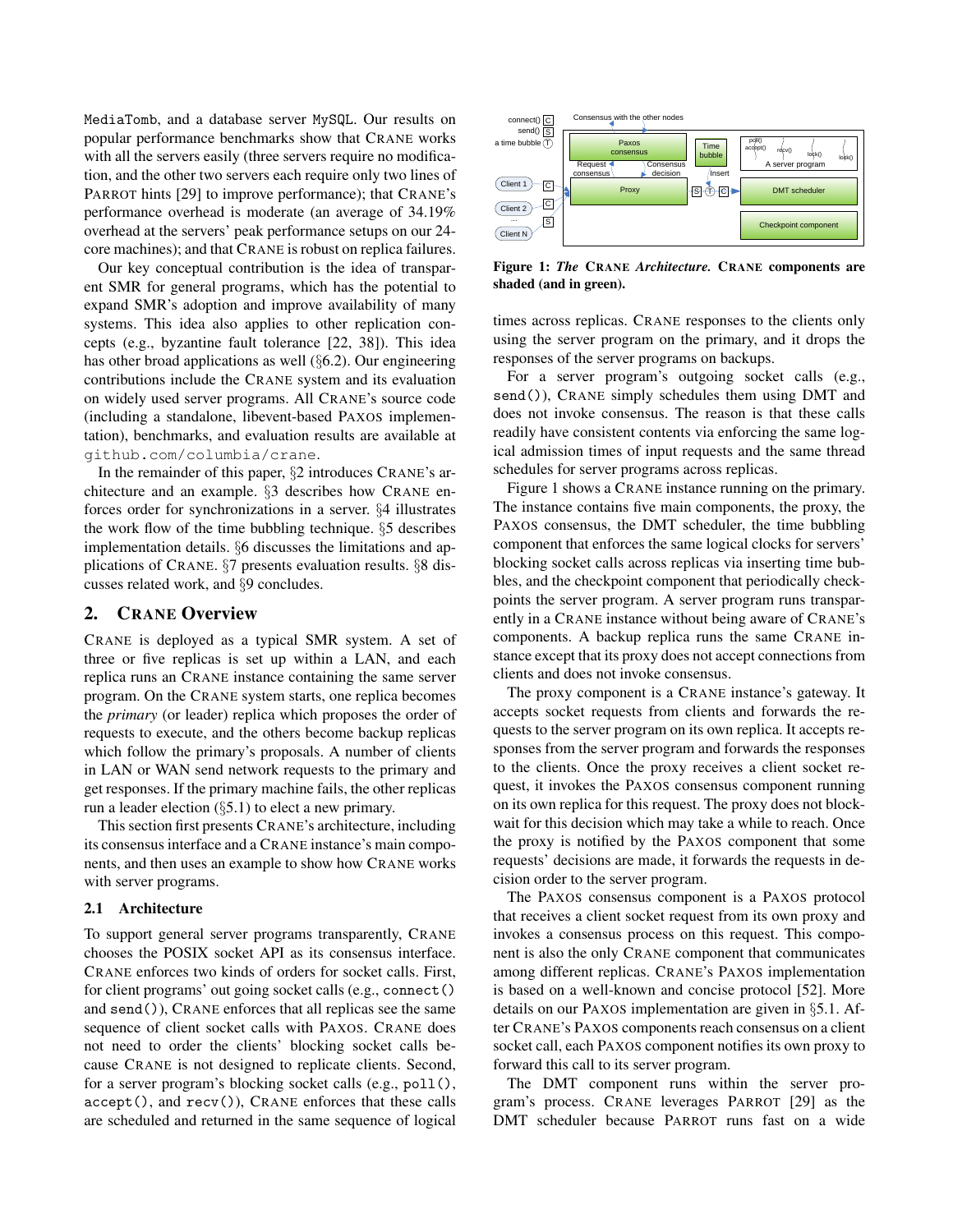MediaTomb, and a database server MySQL. Our results on popular performance benchmarks show that CRANE works with all the servers easily (three servers require no modification, and the other two servers each require only two lines of PARROT hints [\[29\]](#page-13-10) to improve performance); that CRANE's performance overhead is moderate (an average of 34.19% overhead at the servers' peak performance setups on our 24 core machines); and that CRANE is robust on replica failures.

Our key conceptual contribution is the idea of transparent SMR for general programs, which has the potential to expand SMR's adoption and improve availability of many systems. This idea also applies to other replication concepts (e.g., byzantine fault tolerance [\[22,](#page-13-12) [38\]](#page-14-10)). This idea has other broad applications as well (§[6.2\)](#page-8-0). Our engineering contributions include the CRANE system and its evaluation on widely used server programs. All CRANE's source code (including a standalone, libevent-based PAXOS implementation), benchmarks, and evaluation results are available at <github.com/columbia/crane>.

In the remainder of this paper, §[2](#page-2-0) introduces CRANE's architecture and an example. §[3](#page-5-0) describes how CRANE enforces order for synchronizations in a server. §[4](#page-6-0) illustrates the work flow of the time bubbling technique. §[5](#page-7-1) describes implementation details. §[6](#page-8-1) discusses the limitations and applications of CRANE. §[7](#page-8-2) presents evaluation results. §[8](#page-11-0) discusses related work, and §[9](#page-12-2) concludes.

### <span id="page-2-0"></span>2. CRANE Overview

CRANE is deployed as a typical SMR system. A set of three or five replicas is set up within a LAN, and each replica runs an CRANE instance containing the same server program. On the CRANE system starts, one replica becomes the *primary* (or leader) replica which proposes the order of requests to execute, and the others become backup replicas which follow the primary's proposals. A number of clients in LAN or WAN send network requests to the primary and get responses. If the primary machine fails, the other replicas run a leader election  $(\S 5.1)$  $(\S 5.1)$  to elect a new primary.

This section first presents CRANE's architecture, including its consensus interface and a CRANE instance's main components, and then uses an example to show how CRANE works with server programs.

### <span id="page-2-2"></span>2.1 Architecture

To support general server programs transparently, CRANE chooses the POSIX socket API as its consensus interface. CRANE enforces two kinds of orders for socket calls. First, for client programs' out going socket calls (e.g., connect() and send()), CRANE enforces that all replicas see the same sequence of client socket calls with PAXOS. CRANE does not need to order the clients' blocking socket calls because CRANE is not designed to replicate clients. Second, for a server program's blocking socket calls (e.g., poll(), accept(), and recv()), CRANE enforces that these calls are scheduled and returned in the same sequence of logical

<span id="page-2-1"></span>

Figure 1: *The* CRANE *Architecture.* CRANE components are shaded (and in green).

times across replicas. CRANE responses to the clients only using the server program on the primary, and it drops the responses of the server programs on backups.

For a server program's outgoing socket calls (e.g., send()), CRANE simply schedules them using DMT and does not invoke consensus. The reason is that these calls readily have consistent contents via enforcing the same logical admission times of input requests and the same thread schedules for server programs across replicas.

Figure [1](#page-2-1) shows a CRANE instance running on the primary. The instance contains five main components, the proxy, the PAXOS consensus, the DMT scheduler, the time bubbling component that enforces the same logical clocks for servers' blocking socket calls across replicas via inserting time bubbles, and the checkpoint component that periodically checkpoints the server program. A server program runs transparently in a CRANE instance without being aware of CRANE's components. A backup replica runs the same CRANE instance except that its proxy does not accept connections from clients and does not invoke consensus.

The proxy component is a CRANE instance's gateway. It accepts socket requests from clients and forwards the requests to the server program on its own replica. It accepts responses from the server program and forwards the responses to the clients. Once the proxy receives a client socket request, it invokes the PAXOS consensus component running on its own replica for this request. The proxy does not blockwait for this decision which may take a while to reach. Once the proxy is notified by the PAXOS component that some requests' decisions are made, it forwards the requests in decision order to the server program.

The PAXOS consensus component is a PAXOS protocol that receives a client socket request from its own proxy and invokes a consensus process on this request. This component is also the only CRANE component that communicates among different replicas. CRANE's PAXOS implementation is based on a well-known and concise protocol [\[52\]](#page-14-5). More details on our PAXOS implementation are given in §[5.1.](#page-7-2) After CRANE's PAXOS components reach consensus on a client socket call, each PAXOS component notifies its own proxy to forward this call to its server program.

The DMT component runs within the server program's process. CRANE leverages PARROT [\[29\]](#page-13-10) as the DMT scheduler because PARROT runs fast on a wide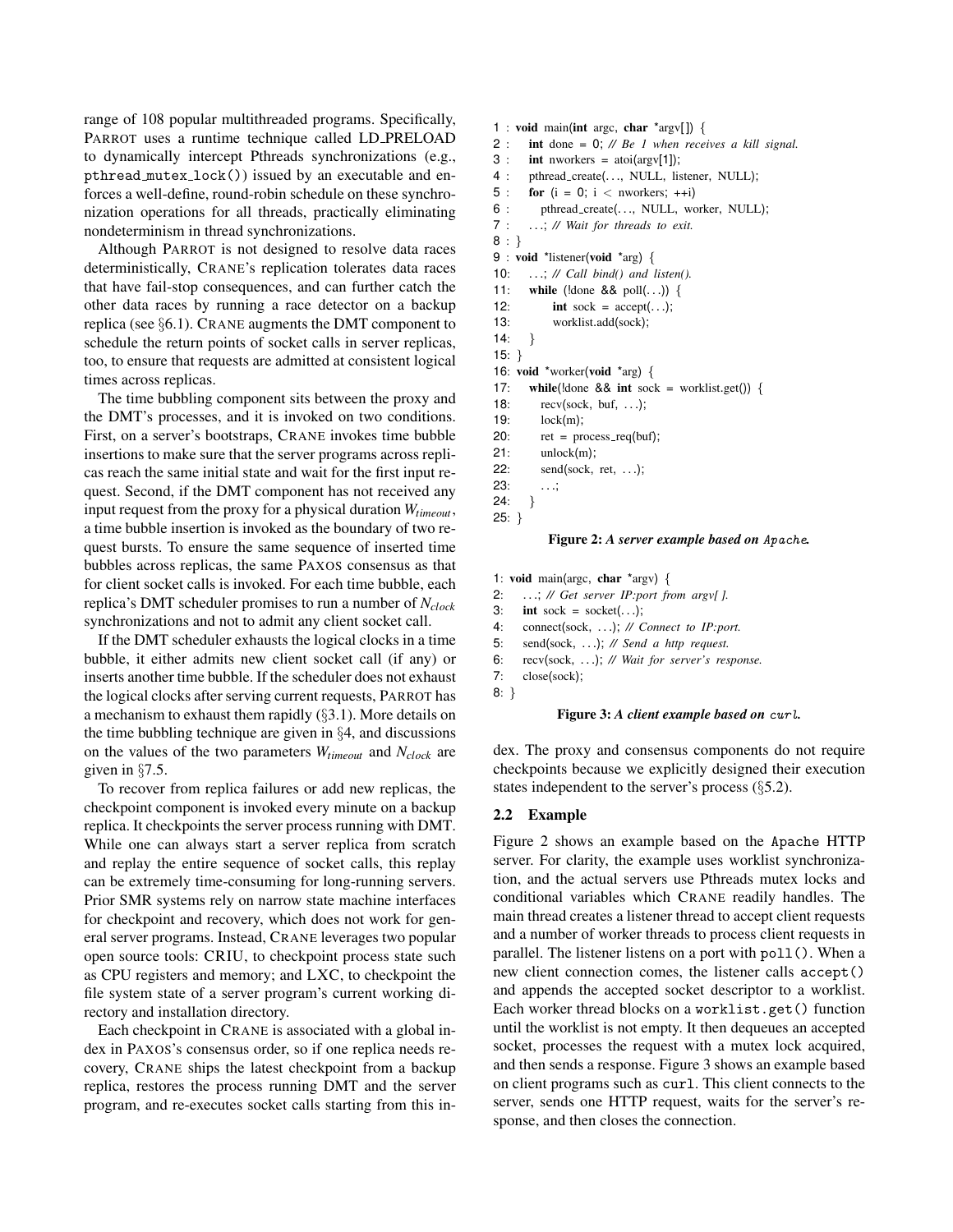range of 108 popular multithreaded programs. Specifically, PARROT uses a runtime technique called LD PRELOAD to dynamically intercept Pthreads synchronizations (e.g., pthread mutex lock()) issued by an executable and enforces a well-define, round-robin schedule on these synchronization operations for all threads, practically eliminating nondeterminism in thread synchronizations.

Although PARROT is not designed to resolve data races deterministically, CRANE's replication tolerates data races that have fail-stop consequences, and can further catch the other data races by running a race detector on a backup replica (see §[6.1\)](#page-8-3). CRANE augments the DMT component to schedule the return points of socket calls in server replicas, too, to ensure that requests are admitted at consistent logical times across replicas.

The time bubbling component sits between the proxy and the DMT's processes, and it is invoked on two conditions. First, on a server's bootstraps, CRANE invokes time bubble insertions to make sure that the server programs across replicas reach the same initial state and wait for the first input request. Second, if the DMT component has not received any input request from the proxy for a physical duration *Wtimeout*, a time bubble insertion is invoked as the boundary of two request bursts. To ensure the same sequence of inserted time bubbles across replicas, the same PAXOS consensus as that for client socket calls is invoked. For each time bubble, each replica's DMT scheduler promises to run a number of *Nclock* synchronizations and not to admit any client socket call.

If the DMT scheduler exhausts the logical clocks in a time bubble, it either admits new client socket call (if any) or inserts another time bubble. If the scheduler does not exhaust the logical clocks after serving current requests, PARROT has a mechanism to exhaust them rapidly (§[3.1\)](#page-5-1). More details on the time bubbling technique are given in §[4,](#page-6-0) and discussions on the values of the two parameters *Wtimeout* and *Nclock* are given in §[7.5.](#page-10-0)

To recover from replica failures or add new replicas, the checkpoint component is invoked every minute on a backup replica. It checkpoints the server process running with DMT. While one can always start a server replica from scratch and replay the entire sequence of socket calls, this replay can be extremely time-consuming for long-running servers. Prior SMR systems rely on narrow state machine interfaces for checkpoint and recovery, which does not work for general server programs. Instead, CRANE leverages two popular open source tools: CRIU, to checkpoint process state such as CPU registers and memory; and LXC, to checkpoint the file system state of a server program's current working directory and installation directory.

Each checkpoint in CRANE is associated with a global index in PAXOS's consensus order, so if one replica needs recovery, CRANE ships the latest checkpoint from a backup replica, restores the process running DMT and the server program, and re-executes socket calls starting from this in-

```
1 : void main(int argc, char *argv[ ]) {
2 : int done = 0; // Be 1 when receives a kill signal.
3: int nworkers = atoi(argv[1]);
4 : pthread_create(..., NULL, listener, NULL);
5 : for (i = 0; i < nworkers; ++i)6 : pthread_create(..., NULL, worker, NULL);
7 : . . .; // Wait for threads to exit.
8 : }
9 : void *listener(void *arg) {
10: . . .; // Call bind() and listen().
11: while (!done && poll(...)) {
12: int sock = accept(...);13: worklist.add(sock);
14: \}15: }
16: void *worker(void *arg) {
17: while(!done && int sock = worklist.get()) {
18: recv(sock, buf, . . .);
19: lock(m);
20: ret = process\_req(buf);21: unlock(m);22: send(sock, ret, . . .);
23: . . .;
24: }
25: }
```
# Figure 2: *A server example based on* Apache*.*

<span id="page-3-2"></span>1: void main(argc, char \*argv) {

- 2: . . .; *// Get server IP:port from argv[ ].*
- 3: int sock = socket $(\ldots);$
- 4: connect(sock, . . .); *// Connect to IP:port.*
- 5: send(sock, . . .); *// Send a http request.*
- 6: recv(sock, . . .); *// Wait for server's response.*
- 7: close(sock);
- 8: }

#### Figure 3: *A client example based on* curl*.*

dex. The proxy and consensus components do not require checkpoints because we explicitly designed their execution states independent to the server's process (§[5.2\)](#page-7-0).

#### <span id="page-3-0"></span>2.2 Example

Figure [2](#page-3-1) shows an example based on the Apache HTTP server. For clarity, the example uses worklist synchronization, and the actual servers use Pthreads mutex locks and conditional variables which CRANE readily handles. The main thread creates a listener thread to accept client requests and a number of worker threads to process client requests in parallel. The listener listens on a port with poll(). When a new client connection comes, the listener calls accept() and appends the accepted socket descriptor to a worklist. Each worker thread blocks on a worklist.get() function until the worklist is not empty. It then dequeues an accepted socket, processes the request with a mutex lock acquired, and then sends a response. Figure [3](#page-3-2) shows an example based on client programs such as curl. This client connects to the server, sends one HTTP request, waits for the server's response, and then closes the connection.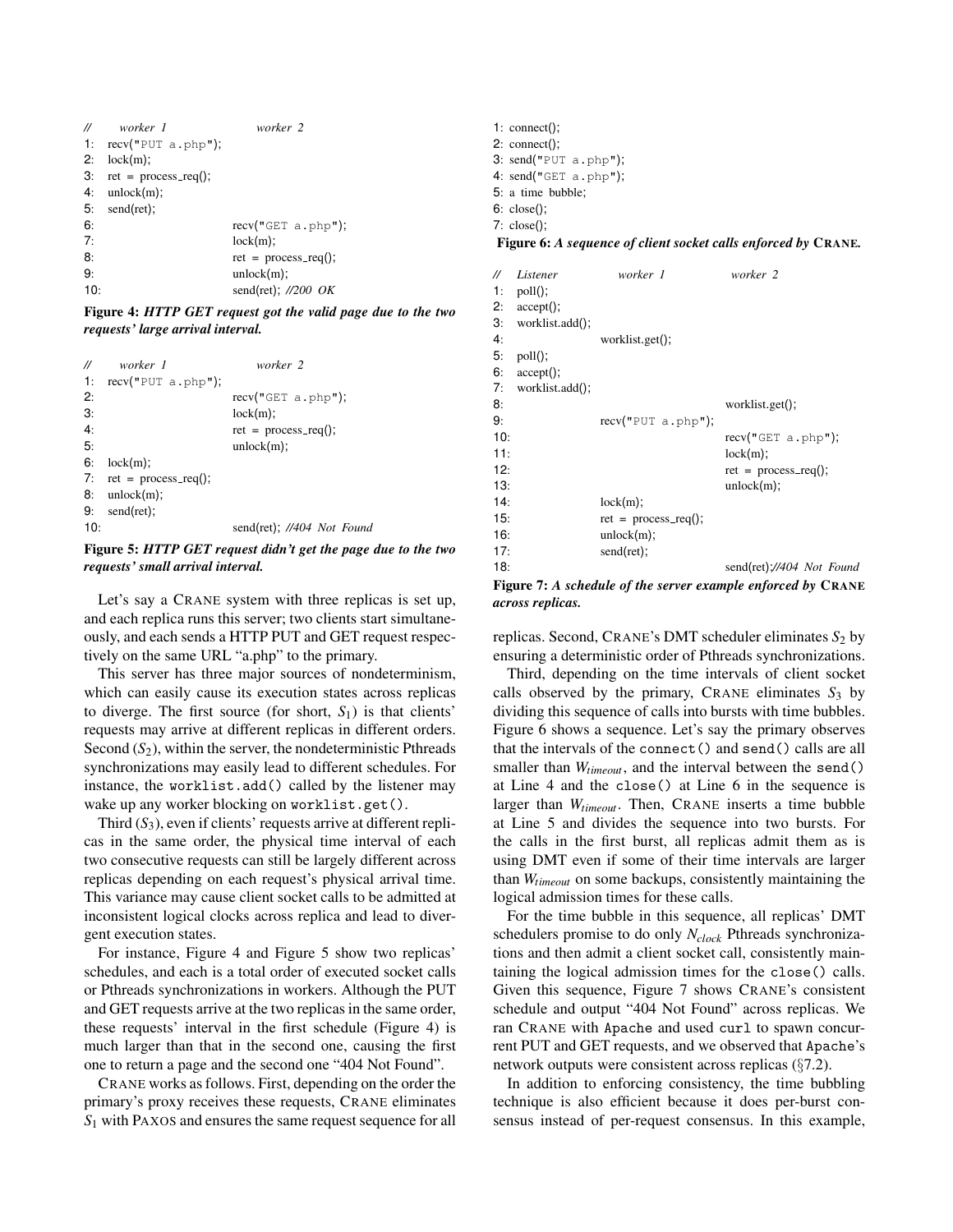<span id="page-4-0"></span>

| $^{\prime\prime}$ | worker 1                       | worker 2                  |
|-------------------|--------------------------------|---------------------------|
|                   | 1: $recv("PUT a.php");$        |                           |
| 2:                | lock(m);                       |                           |
|                   | 3: $ret = process\_req()$ ;    |                           |
| 4:                | $unlock(m)$ ;                  |                           |
|                   | $5: \text{send}(\text{ret})$ ; |                           |
| 6:                |                                | recv("GET a.php");        |
| 7:                |                                | $lock(m)$ :               |
| 8:                |                                | $ret = process_{req}($ ); |
| 9:                |                                | unlock(m);                |
| 10:               |                                | send(ret); $//200$ OK     |

Figure 4: *HTTP GET request got the valid page due to the two requests' large arrival interval.*

<span id="page-4-1"></span>

| $^{\prime\prime}$ | worker 1                       | worker 2                   |
|-------------------|--------------------------------|----------------------------|
| 1:                | recv("PUT a.php");             |                            |
| 2:                |                                | recv("GET a.php");         |
| 3:                |                                | lock(m);                   |
| 4:                |                                | $ret = process_{req}($ );  |
| 5:                |                                | $unlock(m)$ ;              |
| 6:                | lock(m);                       |                            |
|                   | 7: $ret = process_{req}($ );   |                            |
| 8:                | unlock(m);                     |                            |
|                   | $9: \text{send}(\text{ret})$ : |                            |
| 10:               |                                | send(ret); //404 Not Found |

Figure 5: *HTTP GET request didn't get the page due to the two requests' small arrival interval.*

Let's say a CRANE system with three replicas is set up, and each replica runs this server; two clients start simultaneously, and each sends a HTTP PUT and GET request respectively on the same URL "a.php" to the primary.

This server has three major sources of nondeterminism, which can easily cause its execution states across replicas to diverge. The first source (for short,  $S_1$ ) is that clients' requests may arrive at different replicas in different orders. Second (*S*<sub>2</sub>), within the server, the nondeterministic Pthreads synchronizations may easily lead to different schedules. For instance, the worklist.add() called by the listener may wake up any worker blocking on worklist.get().

Third  $(S_3)$ , even if clients' requests arrive at different replicas in the same order, the physical time interval of each two consecutive requests can still be largely different across replicas depending on each request's physical arrival time. This variance may cause client socket calls to be admitted at inconsistent logical clocks across replica and lead to divergent execution states.

For instance, Figure [4](#page-4-0) and Figure [5](#page-4-1) show two replicas' schedules, and each is a total order of executed socket calls or Pthreads synchronizations in workers. Although the PUT and GET requests arrive at the two replicas in the same order, these requests' interval in the first schedule (Figure [4\)](#page-4-0) is much larger than that in the second one, causing the first one to return a page and the second one "404 Not Found".

CRANE works as follows. First, depending on the order the primary's proxy receives these requests, CRANE eliminates *S*<sup>1</sup> with PAXOS and ensures the same request sequence for all

<span id="page-4-2"></span>: connect(); : connect(); 3:  $send("PUT a.php");$ 4:  $send("GET a.php");$ : a time bubble; : close(); : close();

<span id="page-4-3"></span>Figure 6: *A sequence of client socket calls enforced by* CRANE*.*

| //  | Listener        | worker 1                 | worker 2                  |
|-----|-----------------|--------------------------|---------------------------|
| 1:  | $pol(l)$ ;      |                          |                           |
| 2:  | $accept()$ ;    |                          |                           |
| З:  | worklist.add(); |                          |                           |
| 4:  |                 | worklist.get();          |                           |
| 5:  | $poll()$ ;      |                          |                           |
| 6:  | $accept()$ ;    |                          |                           |
| 7:  | worklist.add(); |                          |                           |
| 8:  |                 |                          | worklist.get();           |
| 9:  |                 | recv("PUT a.php");       |                           |
| 10: |                 |                          | recv("GET a.php");        |
| 11: |                 |                          | lock(m);                  |
| 12: |                 |                          | $ret = process_{req}($ ); |
| 13: |                 |                          | unlock(m);                |
| 14: |                 | lock(m);                 |                           |
| 15: |                 | $ret = process_{req}($ ; |                           |
| 16: |                 | unlock(m);               |                           |
| 17: |                 | send(ret);               |                           |
| 18: |                 |                          | send(ret);//404 Not Found |
|     |                 |                          |                           |

Figure 7: *A schedule of the server example enforced by* CRANE *across replicas.*

replicas. Second, CRANE's DMT scheduler eliminates  $S_2$  by ensuring a deterministic order of Pthreads synchronizations.

Third, depending on the time intervals of client socket calls observed by the primary, CRANE eliminates  $S_3$  by dividing this sequence of calls into bursts with time bubbles. Figure [6](#page-4-2) shows a sequence. Let's say the primary observes that the intervals of the connect() and send() calls are all smaller than *Wtimeout*, and the interval between the send() at Line 4 and the close() at Line 6 in the sequence is larger than *Wtimeout*. Then, CRANE inserts a time bubble at Line 5 and divides the sequence into two bursts. For the calls in the first burst, all replicas admit them as is using DMT even if some of their time intervals are larger than *Wtimeout* on some backups, consistently maintaining the logical admission times for these calls.

For the time bubble in this sequence, all replicas' DMT schedulers promise to do only *Nclock* Pthreads synchronizations and then admit a client socket call, consistently maintaining the logical admission times for the close() calls. Given this sequence, Figure [7](#page-4-3) shows CRANE's consistent schedule and output "404 Not Found" across replicas. We ran CRANE with Apache and used curl to spawn concurrent PUT and GET requests, and we observed that Apache's network outputs were consistent across replicas (§[7.2\)](#page-9-0).

In addition to enforcing consistency, the time bubbling technique is also efficient because it does per-burst consensus instead of per-request consensus. In this example,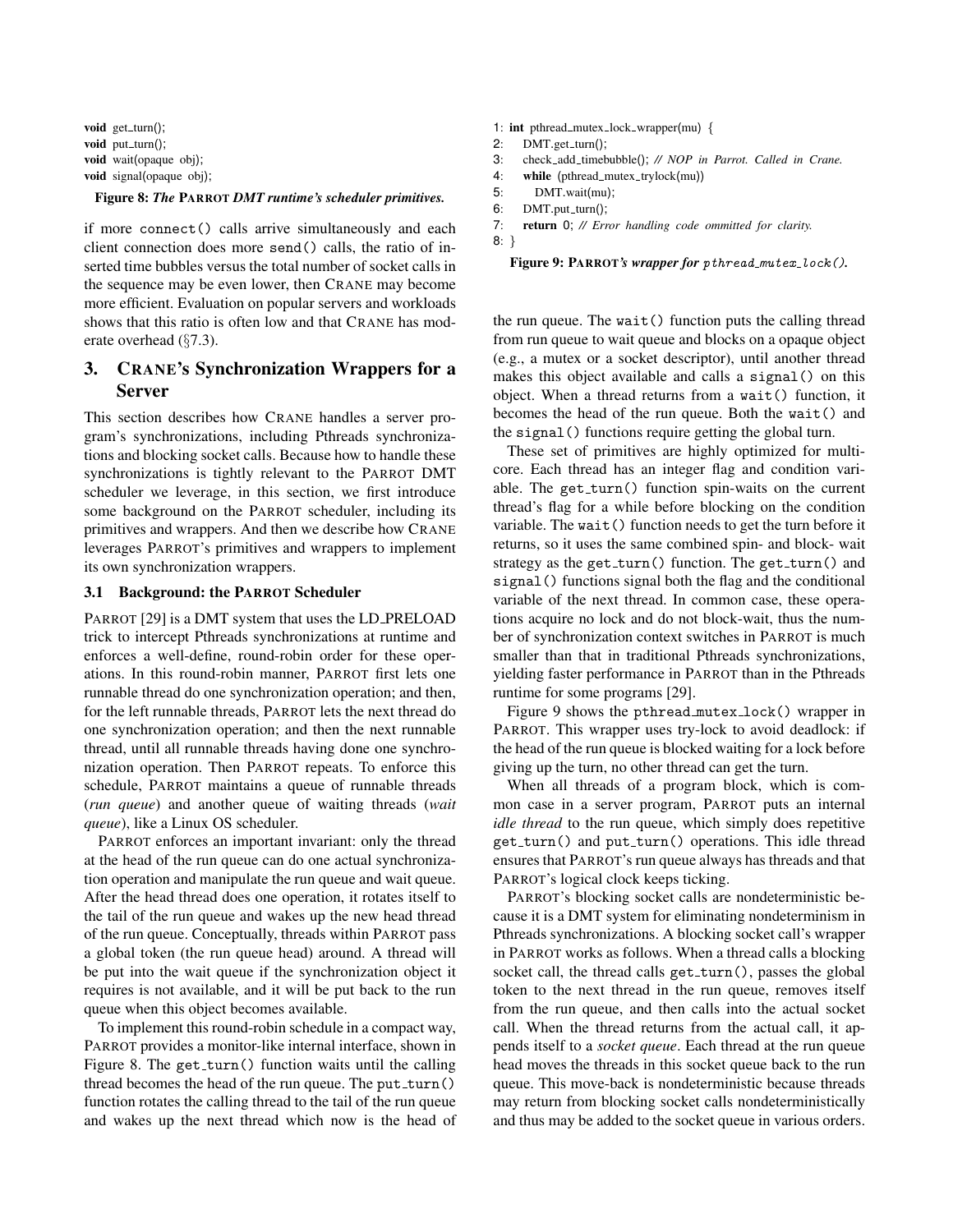<span id="page-5-2"></span>void get\_turn(); void  $put\_turn()$ ; void wait(opaque obj); void signal(opaque obj);

#### Figure 8: *The* PARROT *DMT runtime's scheduler primitives.*

if more connect() calls arrive simultaneously and each client connection does more send() calls, the ratio of inserted time bubbles versus the total number of socket calls in the sequence may be even lower, then CRANE may become more efficient. Evaluation on popular servers and workloads shows that this ratio is often low and that CRANE has moderate overhead (§[7.3\)](#page-9-1).

# <span id="page-5-0"></span>3. CRANE's Synchronization Wrappers for a Server

This section describes how CRANE handles a server program's synchronizations, including Pthreads synchronizations and blocking socket calls. Because how to handle these synchronizations is tightly relevant to the PARROT DMT scheduler we leverage, in this section, we first introduce some background on the PARROT scheduler, including its primitives and wrappers. And then we describe how CRANE leverages PARROT's primitives and wrappers to implement its own synchronization wrappers.

### <span id="page-5-1"></span>3.1 Background: the PARROT Scheduler

PARROT [\[29\]](#page-13-10) is a DMT system that uses the LD\_PRELOAD trick to intercept Pthreads synchronizations at runtime and enforces a well-define, round-robin order for these operations. In this round-robin manner, PARROT first lets one runnable thread do one synchronization operation; and then, for the left runnable threads, PARROT lets the next thread do one synchronization operation; and then the next runnable thread, until all runnable threads having done one synchronization operation. Then PARROT repeats. To enforce this schedule, PARROT maintains a queue of runnable threads (*run queue*) and another queue of waiting threads (*wait queue*), like a Linux OS scheduler.

PARROT enforces an important invariant: only the thread at the head of the run queue can do one actual synchronization operation and manipulate the run queue and wait queue. After the head thread does one operation, it rotates itself to the tail of the run queue and wakes up the new head thread of the run queue. Conceptually, threads within PARROT pass a global token (the run queue head) around. A thread will be put into the wait queue if the synchronization object it requires is not available, and it will be put back to the run queue when this object becomes available.

To implement this round-robin schedule in a compact way, PARROT provides a monitor-like internal interface, shown in Figure [8.](#page-5-2) The get\_turn() function waits until the calling thread becomes the head of the run queue. The put  $turn()$ function rotates the calling thread to the tail of the run queue and wakes up the next thread which now is the head of

- <span id="page-5-3"></span>1: int pthread\_mutex\_lock\_wrapper(mu) {
- $2:$  DMT.get\_turn();
- 3: check add timebubble(); *// NOP in Parrot. Called in Crane.*
- 4: while (pthread\_mutex\_trylock(mu))
- 5: DMT.wait(mu);
- 6:  $DMT.put_turn()$ ;
- 7: return 0; *// Error handling code ommitted for clarity.*

8: }

```
Figure 9: PARROT's wrapper for pthread_mutex_lock().
```
the run queue. The wait() function puts the calling thread from run queue to wait queue and blocks on a opaque object (e.g., a mutex or a socket descriptor), until another thread makes this object available and calls a signal() on this object. When a thread returns from a wait() function, it becomes the head of the run queue. Both the wait() and the signal() functions require getting the global turn.

These set of primitives are highly optimized for multicore. Each thread has an integer flag and condition variable. The get\_turn() function spin-waits on the current thread's flag for a while before blocking on the condition variable. The wait() function needs to get the turn before it returns, so it uses the same combined spin- and block- wait strategy as the get\_turn() function. The get\_turn() and signal() functions signal both the flag and the conditional variable of the next thread. In common case, these operations acquire no lock and do not block-wait, thus the number of synchronization context switches in PARROT is much smaller than that in traditional Pthreads synchronizations, yielding faster performance in PARROT than in the Pthreads runtime for some programs [\[29\]](#page-13-10).

Figure [9](#page-5-3) shows the pthread mutex lock() wrapper in PARROT. This wrapper uses try-lock to avoid deadlock: if the head of the run queue is blocked waiting for a lock before giving up the turn, no other thread can get the turn.

When all threads of a program block, which is common case in a server program, PARROT puts an internal *idle thread* to the run queue, which simply does repetitive get\_turn() and put\_turn() operations. This idle thread ensures that PARROT's run queue always has threads and that PARROT's logical clock keeps ticking.

PARROT's blocking socket calls are nondeterministic because it is a DMT system for eliminating nondeterminism in Pthreads synchronizations. A blocking socket call's wrapper in PARROT works as follows. When a thread calls a blocking socket call, the thread calls get\_turn(), passes the global token to the next thread in the run queue, removes itself from the run queue, and then calls into the actual socket call. When the thread returns from the actual call, it appends itself to a *socket queue*. Each thread at the run queue head moves the threads in this socket queue back to the run queue. This move-back is nondeterministic because threads may return from blocking socket calls nondeterministically and thus may be added to the socket queue in various orders.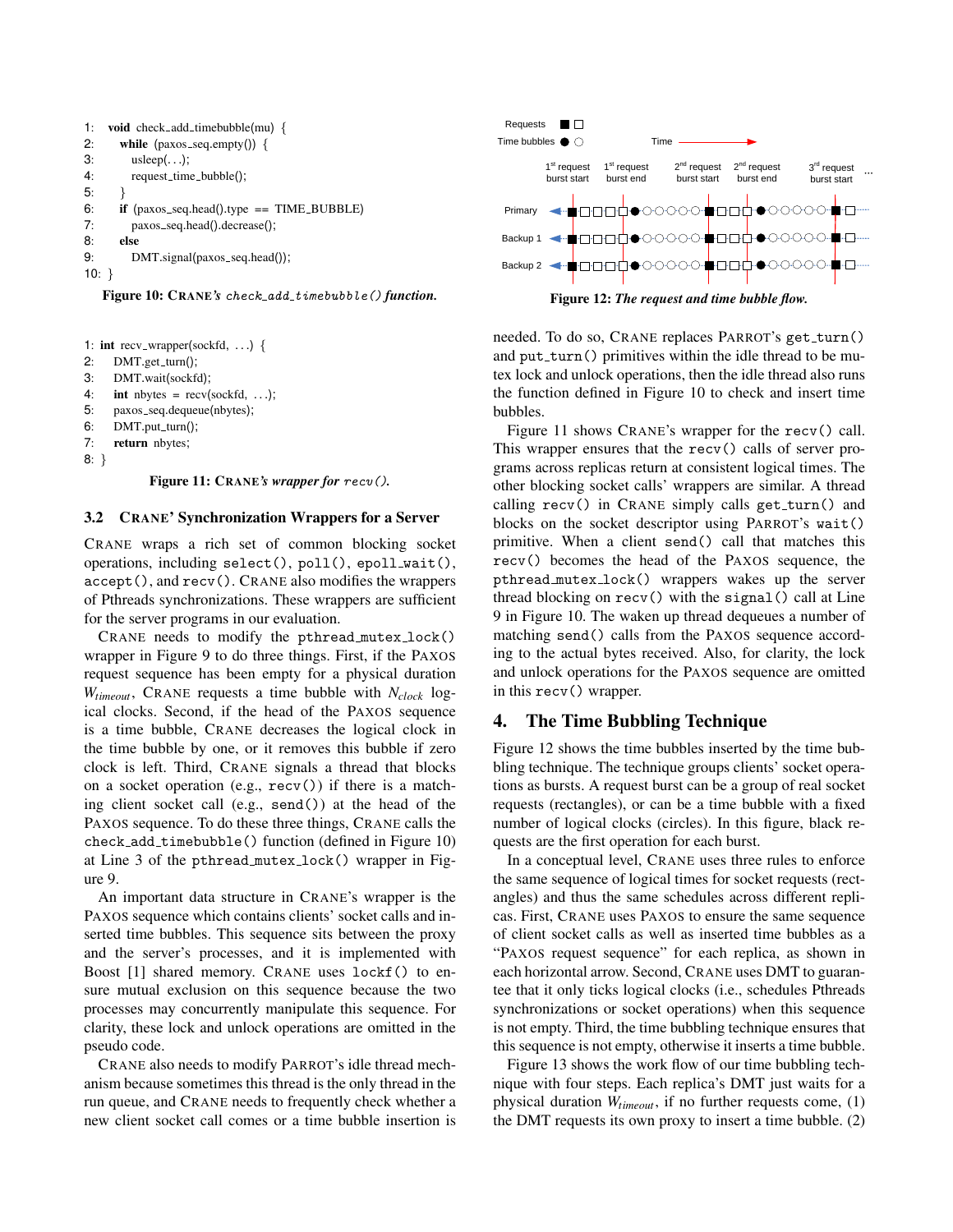```
1: void check_add_timebubble(mu) {
2: while (\text{paxos\_seq}.\text{empty})) {
3: usleep(. . .);
4: request_time_bubble();
5: }
6: if (paxos seq.head().type == TIME BUBBLE)
7: paxos_seq.head().decrease();
8: else
9: DMT.signal(paxos_seq.head());
10: }
```
Figure 10: CRANE's check\_add\_timebubble() function.

```
1: int recv_wrapper(sockfd, ...) {
```

```
2: DMT.get_turn();
```

```
3: DMT.wait(sockfd);
```
- 4: **int** nbytes =  $recv(sockfd, ...)$ ;
- 5: paxos seq.dequeue(nbytes);

```
6: DMT.put_turn();
```

```
7: return nbytes;
```

```
8: }
```
Figure 11: CRANE*'s wrapper for* recv()*.*

# 3.2 CRANE' Synchronization Wrappers for a Server

CRANE wraps a rich set of common blocking socket operations, including select(), poll(), epoll\_wait(), accept(), and recv(). CRANE also modifies the wrappers of Pthreads synchronizations. These wrappers are sufficient for the server programs in our evaluation.

CRANE needs to modify the pthread mutex lock() wrapper in Figure [9](#page-5-3) to do three things. First, if the PAXOS request sequence has been empty for a physical duration *Wtimeout*, CRANE requests a time bubble with *Nclock* logical clocks. Second, if the head of the PAXOS sequence is a time bubble, CRANE decreases the logical clock in the time bubble by one, or it removes this bubble if zero clock is left. Third, CRANE signals a thread that blocks on a socket operation (e.g., recv()) if there is a matching client socket call (e.g., send()) at the head of the PAXOS sequence. To do these three things, CRANE calls the check add timebubble() function (defined in Figure [10\)](#page-6-1) at Line 3 of the pthread mutex lock() wrapper in Figure [9.](#page-5-3)

An important data structure in CRANE's wrapper is the PAXOS sequence which contains clients' socket calls and inserted time bubbles. This sequence sits between the proxy and the server's processes, and it is implemented with Boost [\[1\]](#page-12-3) shared memory. CRANE uses lockf() to ensure mutual exclusion on this sequence because the two processes may concurrently manipulate this sequence. For clarity, these lock and unlock operations are omitted in the pseudo code.

CRANE also needs to modify PARROT's idle thread mechanism because sometimes this thread is the only thread in the run queue, and CRANE needs to frequently check whether a new client socket call comes or a time bubble insertion is

<span id="page-6-3"></span>

needed. To do so, CRANE replaces PARROT's get\_turn() and put\_turn() primitives within the idle thread to be mutex lock and unlock operations, then the idle thread also runs the function defined in Figure [10](#page-6-1) to check and insert time bubbles.

Figure [11](#page-6-2) shows CRANE's wrapper for the recv() call. This wrapper ensures that the recv() calls of server programs across replicas return at consistent logical times. The other blocking socket calls' wrappers are similar. A thread calling recv() in CRANE simply calls get turn() and blocks on the socket descriptor using PARROT's wait() primitive. When a client send() call that matches this recv() becomes the head of the PAXOS sequence, the pthread mutex lock() wrappers wakes up the server thread blocking on recv() with the signal() call at Line 9 in Figure [10.](#page-6-1) The waken up thread dequeues a number of matching send() calls from the PAXOS sequence according to the actual bytes received. Also, for clarity, the lock and unlock operations for the PAXOS sequence are omitted in this recv() wrapper.

# <span id="page-6-0"></span>4. The Time Bubbling Technique

Figure [12](#page-6-3) shows the time bubbles inserted by the time bubbling technique. The technique groups clients' socket operations as bursts. A request burst can be a group of real socket requests (rectangles), or can be a time bubble with a fixed number of logical clocks (circles). In this figure, black requests are the first operation for each burst.

In a conceptual level, CRANE uses three rules to enforce the same sequence of logical times for socket requests (rectangles) and thus the same schedules across different replicas. First, CRANE uses PAXOS to ensure the same sequence of client socket calls as well as inserted time bubbles as a "PAXOS request sequence" for each replica, as shown in each horizontal arrow. Second, CRANE uses DMT to guarantee that it only ticks logical clocks (i.e., schedules Pthreads synchronizations or socket operations) when this sequence is not empty. Third, the time bubbling technique ensures that this sequence is not empty, otherwise it inserts a time bubble.

Figure [13](#page-7-3) shows the work flow of our time bubbling technique with four steps. Each replica's DMT just waits for a physical duration *Wtimeout*, if no further requests come, (1) the DMT requests its own proxy to insert a time bubble. (2)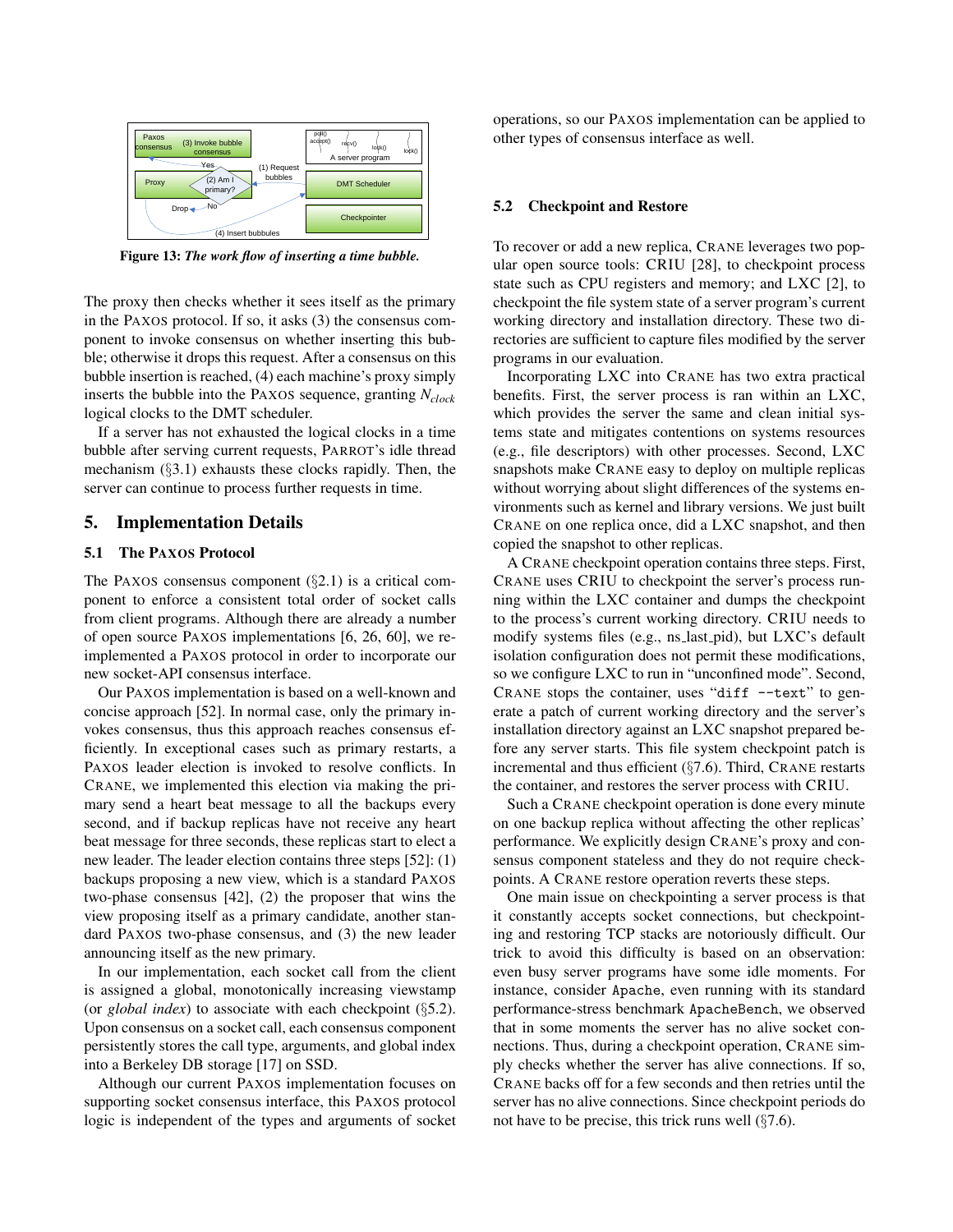<span id="page-7-3"></span>

Figure 13: *The work flow of inserting a time bubble.*

The proxy then checks whether it sees itself as the primary in the PAXOS protocol. If so, it asks (3) the consensus component to invoke consensus on whether inserting this bubble; otherwise it drops this request. After a consensus on this bubble insertion is reached, (4) each machine's proxy simply inserts the bubble into the PAXOS sequence, granting *Nclock* logical clocks to the DMT scheduler.

If a server has not exhausted the logical clocks in a time bubble after serving current requests, PARROT's idle thread mechanism (§[3.1\)](#page-5-1) exhausts these clocks rapidly. Then, the server can continue to process further requests in time.

### <span id="page-7-1"></span>5. Implementation Details

### <span id="page-7-2"></span>5.1 The PAXOS Protocol

The PAXOS consensus component  $(\S2.1)$  $(\S2.1)$  is a critical component to enforce a consistent total order of socket calls from client programs. Although there are already a number of open source PAXOS implementations [\[6,](#page-12-0) [26,](#page-13-13) [60\]](#page-14-11), we reimplemented a PAXOS protocol in order to incorporate our new socket-API consensus interface.

Our PAXOS implementation is based on a well-known and concise approach [\[52\]](#page-14-5). In normal case, only the primary invokes consensus, thus this approach reaches consensus efficiently. In exceptional cases such as primary restarts, a PAXOS leader election is invoked to resolve conflicts. In CRANE, we implemented this election via making the primary send a heart beat message to all the backups every second, and if backup replicas have not receive any heart beat message for three seconds, these replicas start to elect a new leader. The leader election contains three steps [\[52\]](#page-14-5): (1) backups proposing a new view, which is a standard PAXOS two-phase consensus [\[42\]](#page-14-0), (2) the proposer that wins the view proposing itself as a primary candidate, another standard PAXOS two-phase consensus, and (3) the new leader announcing itself as the new primary.

In our implementation, each socket call from the client is assigned a global, monotonically increasing viewstamp (or *global index*) to associate with each checkpoint (§[5.2\)](#page-7-0). Upon consensus on a socket call, each consensus component persistently stores the call type, arguments, and global index into a Berkeley DB storage [\[17\]](#page-13-14) on SSD.

Although our current PAXOS implementation focuses on supporting socket consensus interface, this PAXOS protocol logic is independent of the types and arguments of socket operations, so our PAXOS implementation can be applied to other types of consensus interface as well.

### <span id="page-7-0"></span>5.2 Checkpoint and Restore

To recover or add a new replica, CRANE leverages two popular open source tools: CRIU [\[28\]](#page-13-11), to checkpoint process state such as CPU registers and memory; and LXC [\[2\]](#page-12-1), to checkpoint the file system state of a server program's current working directory and installation directory. These two directories are sufficient to capture files modified by the server programs in our evaluation.

Incorporating LXC into CRANE has two extra practical benefits. First, the server process is ran within an LXC, which provides the server the same and clean initial systems state and mitigates contentions on systems resources (e.g., file descriptors) with other processes. Second, LXC snapshots make CRANE easy to deploy on multiple replicas without worrying about slight differences of the systems environments such as kernel and library versions. We just built CRANE on one replica once, did a LXC snapshot, and then copied the snapshot to other replicas.

A CRANE checkpoint operation contains three steps. First, CRANE uses CRIU to checkpoint the server's process running within the LXC container and dumps the checkpoint to the process's current working directory. CRIU needs to modify systems files (e.g., ns\_last\_pid), but LXC's default isolation configuration does not permit these modifications, so we configure LXC to run in "unconfined mode". Second, CRANE stops the container, uses "diff  $-$ text" to generate a patch of current working directory and the server's installation directory against an LXC snapshot prepared before any server starts. This file system checkpoint patch is incremental and thus efficient (§[7.6\)](#page-11-1). Third, CRANE restarts the container, and restores the server process with CRIU.

Such a CRANE checkpoint operation is done every minute on one backup replica without affecting the other replicas' performance. We explicitly design CRANE's proxy and consensus component stateless and they do not require checkpoints. A CRANE restore operation reverts these steps.

One main issue on checkpointing a server process is that it constantly accepts socket connections, but checkpointing and restoring TCP stacks are notoriously difficult. Our trick to avoid this difficulty is based on an observation: even busy server programs have some idle moments. For instance, consider Apache, even running with its standard performance-stress benchmark ApacheBench, we observed that in some moments the server has no alive socket connections. Thus, during a checkpoint operation, CRANE simply checks whether the server has alive connections. If so, CRANE backs off for a few seconds and then retries until the server has no alive connections. Since checkpoint periods do not have to be precise, this trick runs well  $(\S7.6)$  $(\S7.6)$ .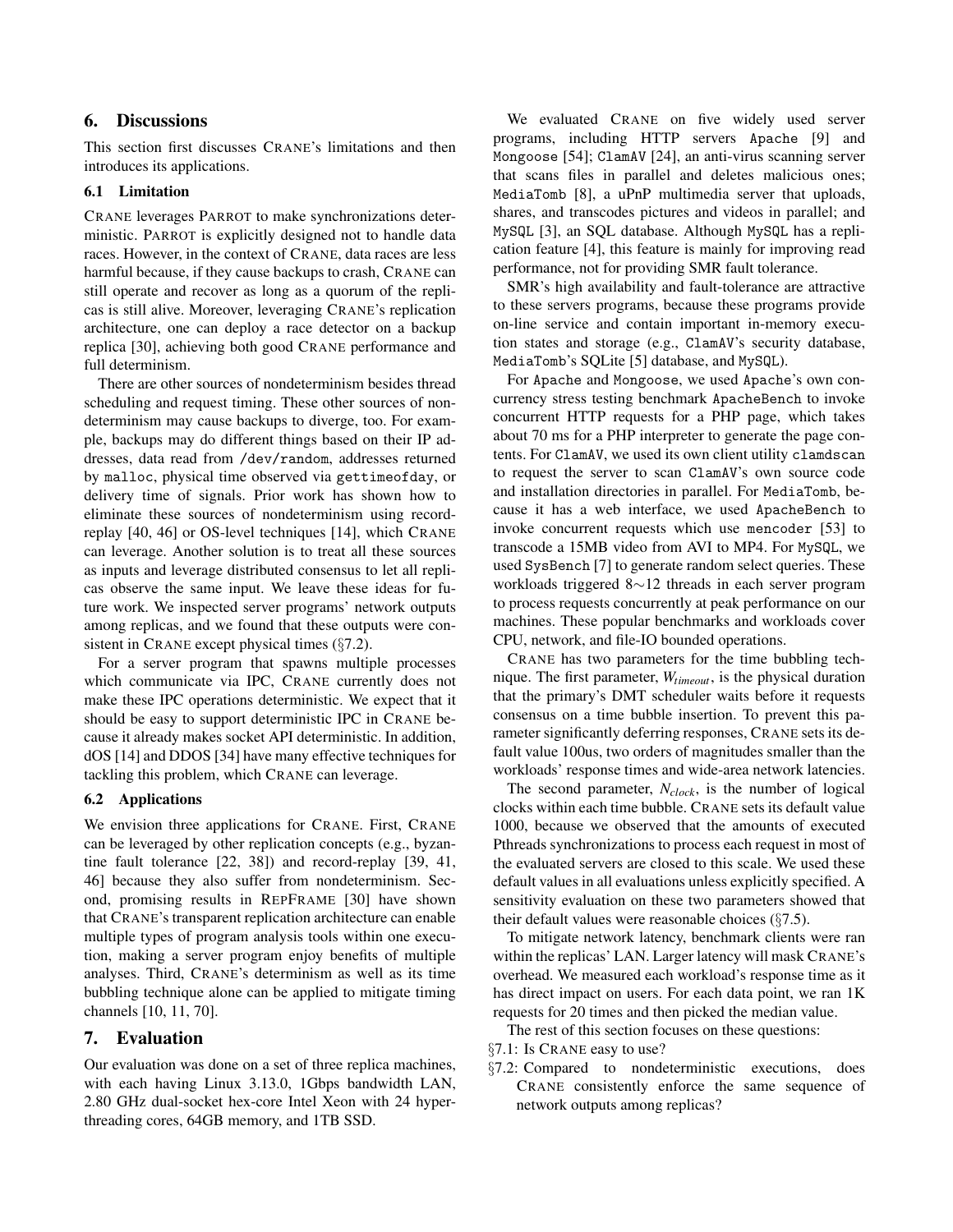# <span id="page-8-1"></span>6. Discussions

This section first discusses CRANE's limitations and then introduces its applications.

## <span id="page-8-3"></span>6.1 Limitation

CRANE leverages PARROT to make synchronizations deterministic. PARROT is explicitly designed not to handle data races. However, in the context of CRANE, data races are less harmful because, if they cause backups to crash, CRANE can still operate and recover as long as a quorum of the replicas is still alive. Moreover, leveraging CRANE's replication architecture, one can deploy a race detector on a backup replica [\[30\]](#page-13-15), achieving both good CRANE performance and full determinism.

There are other sources of nondeterminism besides thread scheduling and request timing. These other sources of nondeterminism may cause backups to diverge, too. For example, backups may do different things based on their IP addresses, data read from /dev/random, addresses returned by malloc, physical time observed via gettimeofday, or delivery time of signals. Prior work has shown how to eliminate these sources of nondeterminism using recordreplay [\[40,](#page-14-12) [46\]](#page-14-13) or OS-level techniques [\[14\]](#page-13-4), which CRANE can leverage. Another solution is to treat all these sources as inputs and leverage distributed consensus to let all replicas observe the same input. We leave these ideas for future work. We inspected server programs' network outputs among replicas, and we found that these outputs were consistent in CRANE except physical times (§[7.2\)](#page-9-0).

For a server program that spawns multiple processes which communicate via IPC, CRANE currently does not make these IPC operations deterministic. We expect that it should be easy to support deterministic IPC in CRANE because it already makes socket API deterministic. In addition, dOS [\[14\]](#page-13-4) and DDOS [\[34\]](#page-13-5) have many effective techniques for tackling this problem, which CRANE can leverage.

### <span id="page-8-0"></span>6.2 Applications

We envision three applications for CRANE. First, CRANE can be leveraged by other replication concepts (e.g., byzantine fault tolerance [\[22,](#page-13-12) [38\]](#page-14-10)) and record-replay [\[39,](#page-14-14) [41,](#page-14-15) [46\]](#page-14-13) because they also suffer from nondeterminism. Second, promising results in REPFRAME [\[30\]](#page-13-15) have shown that CRANE's transparent replication architecture can enable multiple types of program analysis tools within one execution, making a server program enjoy benefits of multiple analyses. Third, CRANE's determinism as well as its time bubbling technique alone can be applied to mitigate timing channels [\[10,](#page-13-16) [11,](#page-13-17) [70\]](#page-15-0).

### <span id="page-8-2"></span>7. Evaluation

Our evaluation was done on a set of three replica machines, with each having Linux 3.13.0, 1Gbps bandwidth LAN, 2.80 GHz dual-socket hex-core Intel Xeon with 24 hyperthreading cores, 64GB memory, and 1TB SSD.

We evaluated CRANE on five widely used server programs, including HTTP servers Apache [\[9\]](#page-13-18) and Mongoose [\[54\]](#page-14-16); ClamAV [\[24\]](#page-13-19), an anti-virus scanning server that scans files in parallel and deletes malicious ones; MediaTomb [\[8\]](#page-13-20), a uPnP multimedia server that uploads, shares, and transcodes pictures and videos in parallel; and MySQL [\[3\]](#page-12-4), an SQL database. Although MySQL has a replication feature [\[4\]](#page-12-5), this feature is mainly for improving read performance, not for providing SMR fault tolerance.

SMR's high availability and fault-tolerance are attractive to these servers programs, because these programs provide on-line service and contain important in-memory execution states and storage (e.g., ClamAV's security database, MediaTomb's SQLite [\[5\]](#page-12-6) database, and MySQL).

For Apache and Mongoose, we used Apache's own concurrency stress testing benchmark ApacheBench to invoke concurrent HTTP requests for a PHP page, which takes about 70 ms for a PHP interpreter to generate the page contents. For ClamAV, we used its own client utility clamdscan to request the server to scan ClamAV's own source code and installation directories in parallel. For MediaTomb, because it has a web interface, we used ApacheBench to invoke concurrent requests which use mencoder [\[53\]](#page-14-17) to transcode a 15MB video from AVI to MP4. For MySQL, we used SysBench [\[7\]](#page-13-21) to generate random select queries. These workloads triggered 8∼12 threads in each server program to process requests concurrently at peak performance on our machines. These popular benchmarks and workloads cover CPU, network, and file-IO bounded operations.

CRANE has two parameters for the time bubbling technique. The first parameter, *Wtimeout*, is the physical duration that the primary's DMT scheduler waits before it requests consensus on a time bubble insertion. To prevent this parameter significantly deferring responses, CRANE sets its default value 100us, two orders of magnitudes smaller than the workloads' response times and wide-area network latencies.

The second parameter, *Nclock*, is the number of logical clocks within each time bubble. CRANE sets its default value 1000, because we observed that the amounts of executed Pthreads synchronizations to process each request in most of the evaluated servers are closed to this scale. We used these default values in all evaluations unless explicitly specified. A sensitivity evaluation on these two parameters showed that their default values were reasonable choices (§[7.5\)](#page-10-0).

To mitigate network latency, benchmark clients were ran within the replicas' LAN. Larger latency will mask CRANE's overhead. We measured each workload's response time as it has direct impact on users. For each data point, we ran 1K requests for 20 times and then picked the median value.

The rest of this section focuses on these questions:

§[7.1:](#page-9-2) Is CRANE easy to use?

§[7.2:](#page-9-0) Compared to nondeterministic executions, does CRANE consistently enforce the same sequence of network outputs among replicas?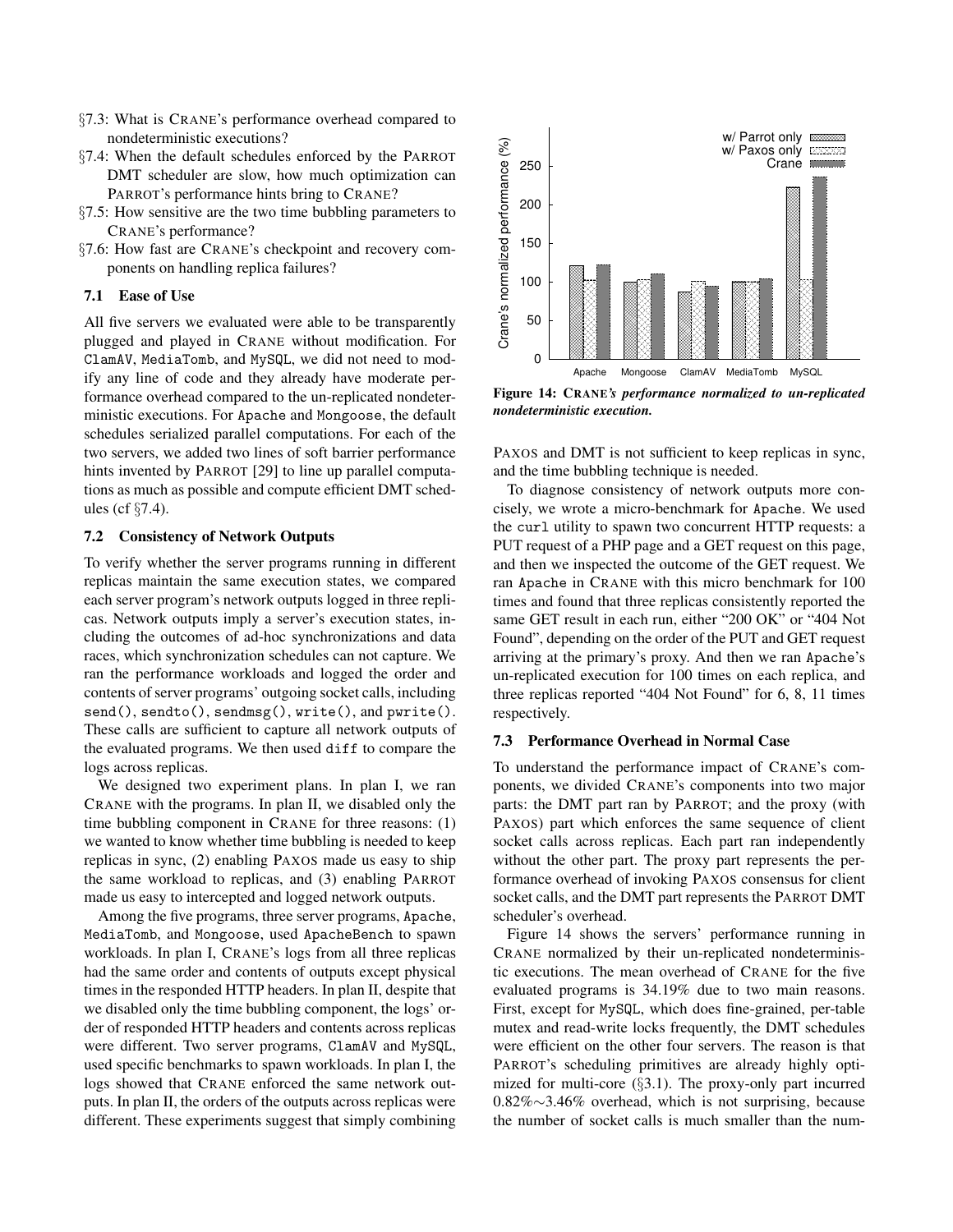- §[7.3:](#page-9-1) What is CRANE's performance overhead compared to nondeterministic executions?
- §[7.4:](#page-10-1) When the default schedules enforced by the PARROT DMT scheduler are slow, how much optimization can PARROT's performance hints bring to CRANE?
- §[7.5:](#page-10-0) How sensitive are the two time bubbling parameters to CRANE's performance?
- §[7.6:](#page-11-1) How fast are CRANE's checkpoint and recovery components on handling replica failures?

### <span id="page-9-2"></span>7.1 Ease of Use

All five servers we evaluated were able to be transparently plugged and played in CRANE without modification. For ClamAV, MediaTomb, and MySQL, we did not need to modify any line of code and they already have moderate performance overhead compared to the un-replicated nondeterministic executions. For Apache and Mongoose, the default schedules serialized parallel computations. For each of the two servers, we added two lines of soft barrier performance hints invented by PARROT [\[29\]](#page-13-10) to line up parallel computations as much as possible and compute efficient DMT schedules (cf §[7.4\)](#page-10-1).

### <span id="page-9-0"></span>7.2 Consistency of Network Outputs

To verify whether the server programs running in different replicas maintain the same execution states, we compared each server program's network outputs logged in three replicas. Network outputs imply a server's execution states, including the outcomes of ad-hoc synchronizations and data races, which synchronization schedules can not capture. We ran the performance workloads and logged the order and contents of server programs' outgoing socket calls, including send(), sendto(), sendmsg(), write(), and pwrite(). These calls are sufficient to capture all network outputs of the evaluated programs. We then used diff to compare the logs across replicas.

We designed two experiment plans. In plan I, we ran CRANE with the programs. In plan II, we disabled only the time bubbling component in CRANE for three reasons: (1) we wanted to know whether time bubbling is needed to keep replicas in sync, (2) enabling PAXOS made us easy to ship the same workload to replicas, and (3) enabling PARROT made us easy to intercepted and logged network outputs.

Among the five programs, three server programs, Apache, MediaTomb, and Mongoose, used ApacheBench to spawn workloads. In plan I, CRANE's logs from all three replicas had the same order and contents of outputs except physical times in the responded HTTP headers. In plan II, despite that we disabled only the time bubbling component, the logs' order of responded HTTP headers and contents across replicas were different. Two server programs, ClamAV and MySQL, used specific benchmarks to spawn workloads. In plan I, the logs showed that CRANE enforced the same network outputs. In plan II, the orders of the outputs across replicas were different. These experiments suggest that simply combining

<span id="page-9-3"></span>

Figure 14: CRANE*'s performance normalized to un-replicated nondeterministic execution.*

PAXOS and DMT is not sufficient to keep replicas in sync, and the time bubbling technique is needed.

To diagnose consistency of network outputs more concisely, we wrote a micro-benchmark for Apache. We used the curl utility to spawn two concurrent HTTP requests: a PUT request of a PHP page and a GET request on this page, and then we inspected the outcome of the GET request. We ran Apache in CRANE with this micro benchmark for 100 times and found that three replicas consistently reported the same GET result in each run, either "200 OK" or "404 Not Found", depending on the order of the PUT and GET request arriving at the primary's proxy. And then we ran Apache's un-replicated execution for 100 times on each replica, and three replicas reported "404 Not Found" for 6, 8, 11 times respectively.

### <span id="page-9-1"></span>7.3 Performance Overhead in Normal Case

To understand the performance impact of CRANE's components, we divided CRANE's components into two major parts: the DMT part ran by PARROT; and the proxy (with PAXOS) part which enforces the same sequence of client socket calls across replicas. Each part ran independently without the other part. The proxy part represents the performance overhead of invoking PAXOS consensus for client socket calls, and the DMT part represents the PARROT DMT scheduler's overhead.

Figure [14](#page-9-3) shows the servers' performance running in CRANE normalized by their un-replicated nondeterministic executions. The mean overhead of CRANE for the five evaluated programs is 34.19% due to two main reasons. First, except for MySQL, which does fine-grained, per-table mutex and read-write locks frequently, the DMT schedules were efficient on the other four servers. The reason is that PARROT's scheduling primitives are already highly optimized for multi-core (§[3.1\)](#page-5-1). The proxy-only part incurred 0.82%∼3.46% overhead, which is not surprising, because the number of socket calls is much smaller than the num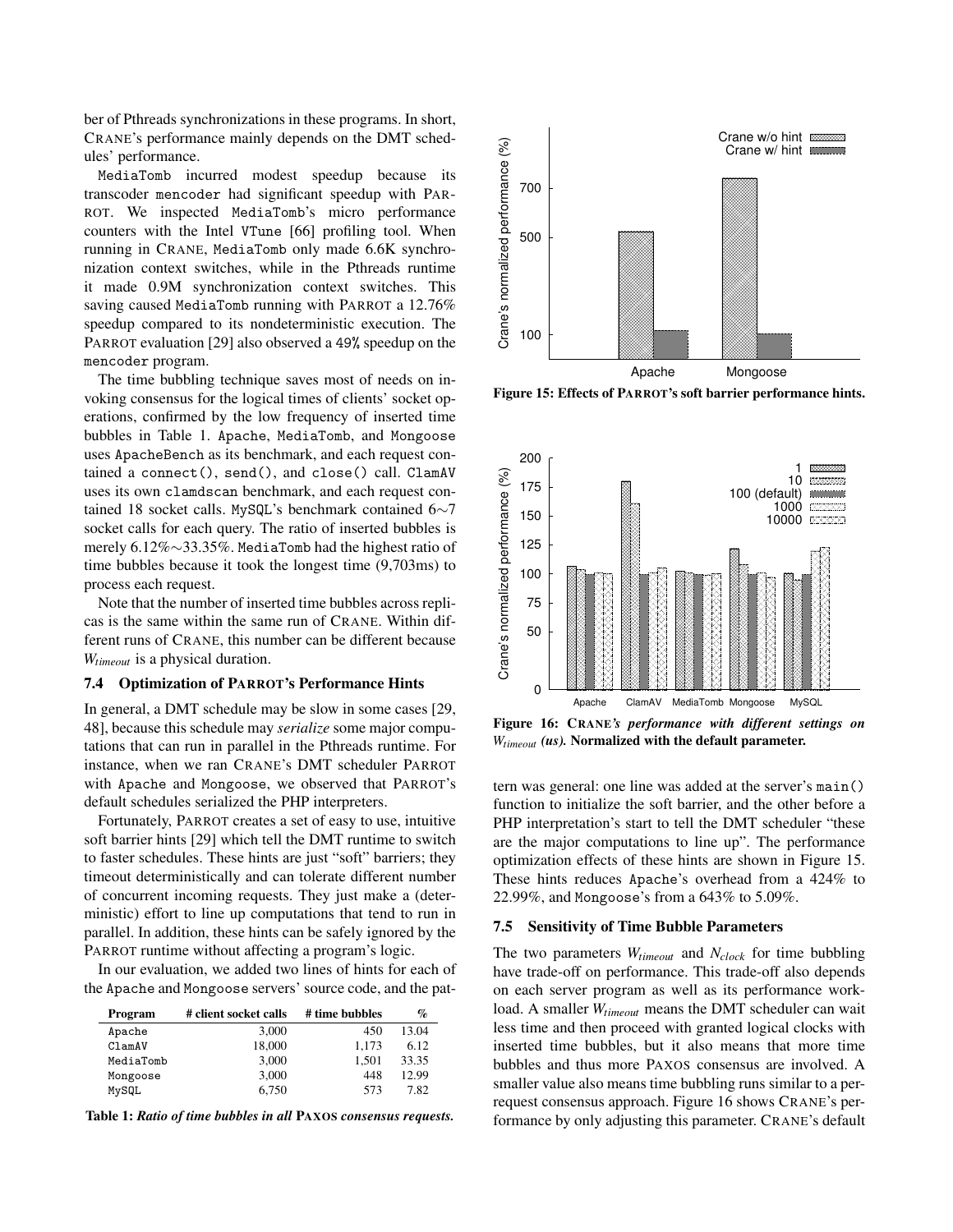ber of Pthreads synchronizations in these programs. In short, CRANE's performance mainly depends on the DMT schedules' performance.

MediaTomb incurred modest speedup because its transcoder mencoder had significant speedup with PAR-ROT. We inspected MediaTomb's micro performance counters with the Intel VTune [\[66\]](#page-14-18) profiling tool. When running in CRANE, MediaTomb only made 6.6K synchronization context switches, while in the Pthreads runtime it made 0.9M synchronization context switches. This saving caused MediaTomb running with PARROT a 12.76% speedup compared to its nondeterministic execution. The PARROT evaluation [\[29\]](#page-13-10) also observed a 49% speedup on the mencoder program.

The time bubbling technique saves most of needs on invoking consensus for the logical times of clients' socket operations, confirmed by the low frequency of inserted time bubbles in Table [1.](#page-10-2) Apache, MediaTomb, and Mongoose uses ApacheBench as its benchmark, and each request contained a connect(), send(), and close() call. ClamAV uses its own clamdscan benchmark, and each request contained 18 socket calls. MySQL's benchmark contained 6∼7 socket calls for each query. The ratio of inserted bubbles is merely 6.12%∼33.35%. MediaTomb had the highest ratio of time bubbles because it took the longest time (9,703ms) to process each request.

Note that the number of inserted time bubbles across replicas is the same within the same run of CRANE. Within different runs of CRANE, this number can be different because *Wtimeout* is a physical duration.

#### <span id="page-10-1"></span>7.4 Optimization of PARROT's Performance Hints

In general, a DMT schedule may be slow in some cases [\[29,](#page-13-10) [48\]](#page-14-19), because this schedule may *serialize* some major computations that can run in parallel in the Pthreads runtime. For instance, when we ran CRANE's DMT scheduler PARROT with Apache and Mongoose, we observed that PARROT's default schedules serialized the PHP interpreters.

Fortunately, PARROT creates a set of easy to use, intuitive soft barrier hints [\[29\]](#page-13-10) which tell the DMT runtime to switch to faster schedules. These hints are just "soft" barriers; they timeout deterministically and can tolerate different number of concurrent incoming requests. They just make a (deterministic) effort to line up computations that tend to run in parallel. In addition, these hints can be safely ignored by the PARROT runtime without affecting a program's logic.

In our evaluation, we added two lines of hints for each of the Apache and Mongoose servers' source code, and the pat-

<span id="page-10-2"></span>

| Program   | # client socket calls | # time bubbles | $\%$  |
|-----------|-----------------------|----------------|-------|
| Apache    | 3.000                 | 450            | 13.04 |
| ClamAV    | 18,000                | 1.173          | 6.12  |
| MediaTomb | 3.000                 | 1.501          | 33.35 |
| Mongoose  | 3.000                 | 448            | 12.99 |
| MySQL     | 6.750                 | 573            | 7.82  |

Table 1: *Ratio of time bubbles in all* PAXOS *consensus requests.*

<span id="page-10-3"></span>

Figure 15: Effects of PARROT's soft barrier performance hints.

<span id="page-10-4"></span>

Figure 16: CRANE*'s performance with different settings on Wtimeout (us).* Normalized with the default parameter.

tern was general: one line was added at the server's main() function to initialize the soft barrier, and the other before a PHP interpretation's start to tell the DMT scheduler "these are the major computations to line up". The performance optimization effects of these hints are shown in Figure [15.](#page-10-3) These hints reduces Apache's overhead from a 424% to 22.99%, and Mongoose's from a 643% to 5.09%.

#### <span id="page-10-0"></span>7.5 Sensitivity of Time Bubble Parameters

The two parameters *Wtimeout* and *Nclock* for time bubbling have trade-off on performance. This trade-off also depends on each server program as well as its performance workload. A smaller *Wtimeout* means the DMT scheduler can wait less time and then proceed with granted logical clocks with inserted time bubbles, but it also means that more time bubbles and thus more PAXOS consensus are involved. A smaller value also means time bubbling runs similar to a perrequest consensus approach. Figure [16](#page-10-4) shows CRANE's performance by only adjusting this parameter. CRANE's default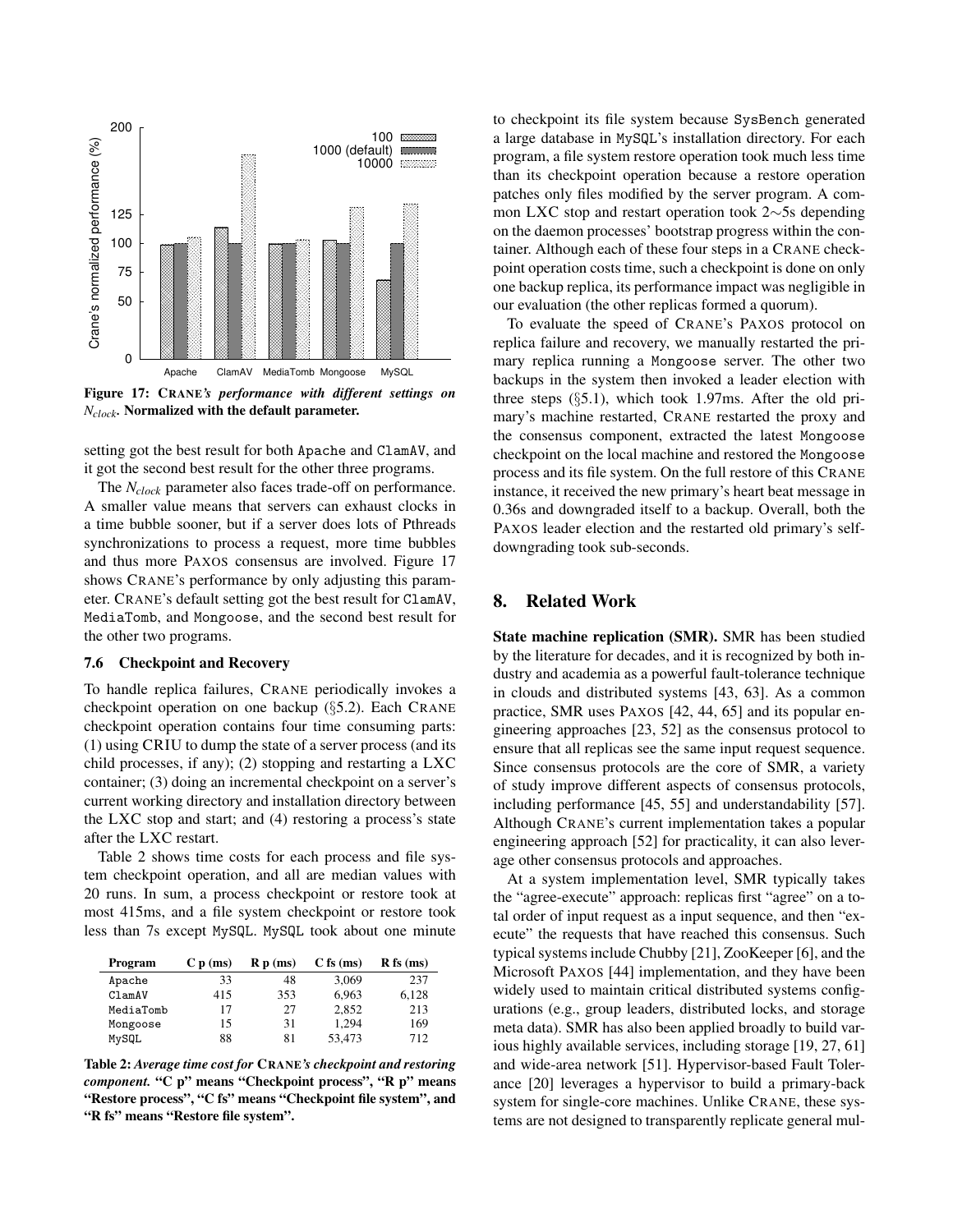<span id="page-11-2"></span>

Figure 17: CRANE*'s performance with different settings on Nclock.* Normalized with the default parameter.

setting got the best result for both Apache and ClamAV, and it got the second best result for the other three programs.

The *Nclock* parameter also faces trade-off on performance. A smaller value means that servers can exhaust clocks in a time bubble sooner, but if a server does lots of Pthreads synchronizations to process a request, more time bubbles and thus more PAXOS consensus are involved. Figure [17](#page-11-2) shows CRANE's performance by only adjusting this parameter. CRANE's default setting got the best result for ClamAV, MediaTomb, and Mongoose, and the second best result for the other two programs.

#### <span id="page-11-1"></span>7.6 Checkpoint and Recovery

To handle replica failures, CRANE periodically invokes a checkpoint operation on one backup (§[5.2\)](#page-7-0). Each CRANE checkpoint operation contains four time consuming parts: (1) using CRIU to dump the state of a server process (and its child processes, if any); (2) stopping and restarting a LXC container; (3) doing an incremental checkpoint on a server's current working directory and installation directory between the LXC stop and start; and (4) restoring a process's state after the LXC restart.

Table [2](#page-11-3) shows time costs for each process and file system checkpoint operation, and all are median values with 20 runs. In sum, a process checkpoint or restore took at most 415ms, and a file system checkpoint or restore took less than 7s except MySQL. MySQL took about one minute

<span id="page-11-3"></span>

| Program   | C p(ms) | R p(ms) | $C$ fs (ms) | $R$ fs (ms) |
|-----------|---------|---------|-------------|-------------|
| Apache    | 33      | 48      | 3,069       | 237         |
| ClamAV    | 415     | 353     | 6.963       | 6,128       |
| MediaTomb | 17      | 27      | 2.852       | 213         |
| Mongoose  | 15      | 31      | 1.294       | 169         |
| MySQL     | 88      | 81      | 53,473      | 712         |

Table 2: *Average time cost for* CRANE*'s checkpoint and restoring component.* "C p" means "Checkpoint process", "R p" means "Restore process", "C fs" means "Checkpoint file system", and "R fs" means "Restore file system".

to checkpoint its file system because SysBench generated a large database in MySQL's installation directory. For each program, a file system restore operation took much less time than its checkpoint operation because a restore operation patches only files modified by the server program. A common LXC stop and restart operation took 2∼5s depending on the daemon processes' bootstrap progress within the container. Although each of these four steps in a CRANE checkpoint operation costs time, such a checkpoint is done on only one backup replica, its performance impact was negligible in our evaluation (the other replicas formed a quorum).

To evaluate the speed of CRANE's PAXOS protocol on replica failure and recovery, we manually restarted the primary replica running a Mongoose server. The other two backups in the system then invoked a leader election with three steps (§[5.1\)](#page-7-2), which took 1.97ms. After the old primary's machine restarted, CRANE restarted the proxy and the consensus component, extracted the latest Mongoose checkpoint on the local machine and restored the Mongoose process and its file system. On the full restore of this CRANE instance, it received the new primary's heart beat message in 0.36s and downgraded itself to a backup. Overall, both the PAXOS leader election and the restarted old primary's selfdowngrading took sub-seconds.

# <span id="page-11-0"></span>8. Related Work

State machine replication (SMR). SMR has been studied by the literature for decades, and it is recognized by both industry and academia as a powerful fault-tolerance technique in clouds and distributed systems [\[43,](#page-14-8) [63\]](#page-14-20). As a common practice, SMR uses PAXOS [\[42,](#page-14-0) [44,](#page-14-1) [65\]](#page-14-2) and its popular engineering approaches [\[23,](#page-13-2) [52\]](#page-14-5) as the consensus protocol to ensure that all replicas see the same input request sequence. Since consensus protocols are the core of SMR, a variety of study improve different aspects of consensus protocols, including performance [\[45,](#page-14-21) [55\]](#page-14-22) and understandability [\[57\]](#page-14-23). Although CRANE's current implementation takes a popular engineering approach [\[52\]](#page-14-5) for practicality, it can also leverage other consensus protocols and approaches.

At a system implementation level, SMR typically takes the "agree-execute" approach: replicas first "agree" on a total order of input request as a input sequence, and then "execute" the requests that have reached this consensus. Such typical systems include Chubby [\[21\]](#page-13-1), ZooKeeper [\[6\]](#page-12-0), and the Microsoft PAXOS [\[44\]](#page-14-1) implementation, and they have been widely used to maintain critical distributed systems configurations (e.g., group leaders, distributed locks, and storage meta data). SMR has also been applied broadly to build various highly available services, including storage [\[19,](#page-13-0) [27,](#page-13-22) [61\]](#page-14-6) and wide-area network [\[51\]](#page-14-4). Hypervisor-based Fault Tolerance [\[20\]](#page-13-23) leverages a hypervisor to build a primary-back system for single-core machines. Unlike CRANE, these systems are not designed to transparently replicate general mul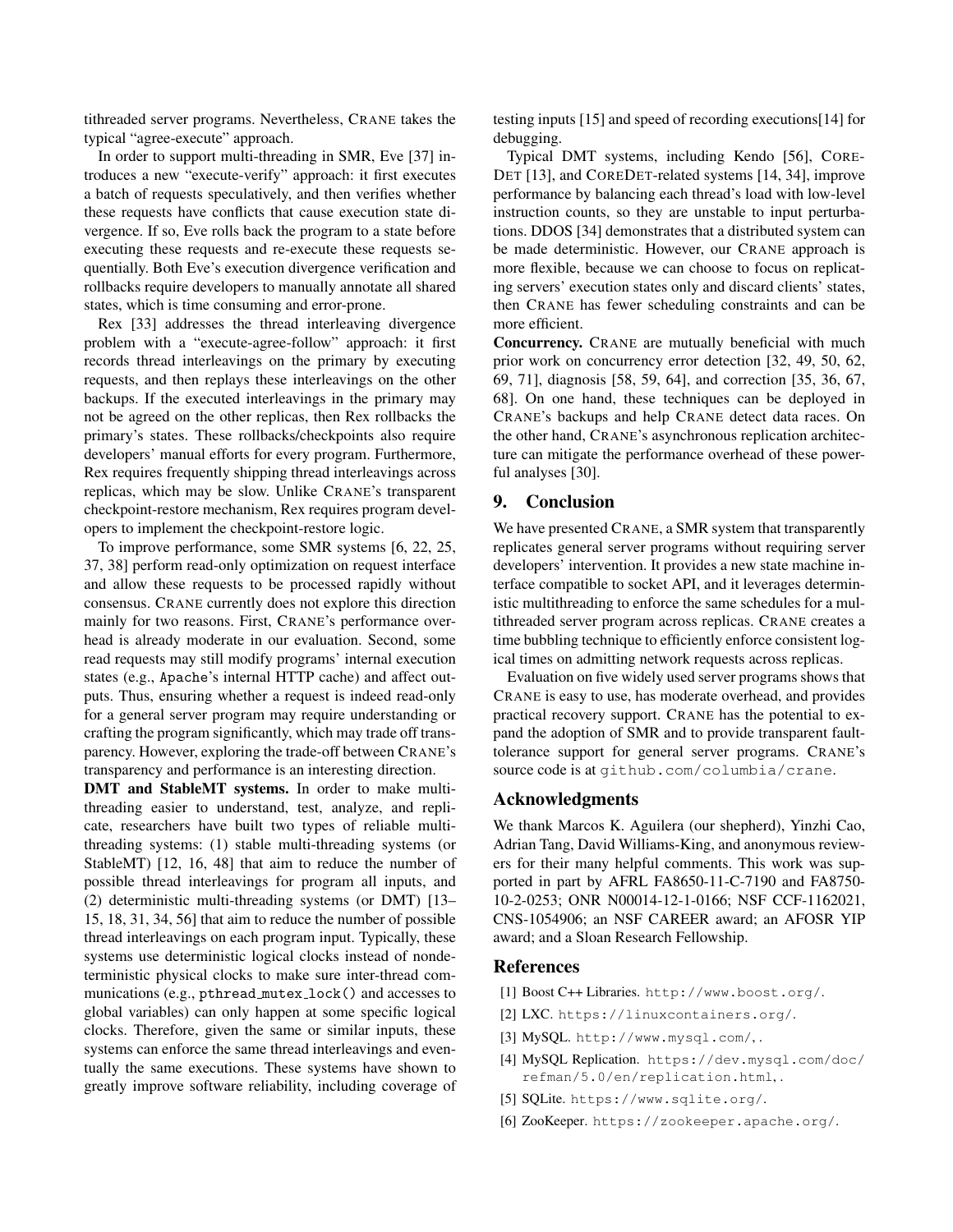tithreaded server programs. Nevertheless, CRANE takes the typical "agree-execute" approach.

In order to support multi-threading in SMR, Eve [\[37\]](#page-14-3) introduces a new "execute-verify" approach: it first executes a batch of requests speculatively, and then verifies whether these requests have conflicts that cause execution state divergence. If so, Eve rolls back the program to a state before executing these requests and re-execute these requests sequentially. Both Eve's execution divergence verification and rollbacks require developers to manually annotate all shared states, which is time consuming and error-prone.

Rex [\[33\]](#page-13-3) addresses the thread interleaving divergence problem with a "execute-agree-follow" approach: it first records thread interleavings on the primary by executing requests, and then replays these interleavings on the other backups. If the executed interleavings in the primary may not be agreed on the other replicas, then Rex rollbacks the primary's states. These rollbacks/checkpoints also require developers' manual efforts for every program. Furthermore, Rex requires frequently shipping thread interleavings across replicas, which may be slow. Unlike CRANE's transparent checkpoint-restore mechanism, Rex requires program developers to implement the checkpoint-restore logic.

To improve performance, some SMR systems [\[6,](#page-12-0) [22,](#page-13-12) [25,](#page-13-24) [37,](#page-14-3) [38\]](#page-14-10) perform read-only optimization on request interface and allow these requests to be processed rapidly without consensus. CRANE currently does not explore this direction mainly for two reasons. First, CRANE's performance overhead is already moderate in our evaluation. Second, some read requests may still modify programs' internal execution states (e.g., Apache's internal HTTP cache) and affect outputs. Thus, ensuring whether a request is indeed read-only for a general server program may require understanding or crafting the program significantly, which may trade off transparency. However, exploring the trade-off between CRANE's transparency and performance is an interesting direction.

DMT and StableMT systems. In order to make multithreading easier to understand, test, analyze, and replicate, researchers have built two types of reliable multithreading systems: (1) stable multi-threading systems (or StableMT) [\[12,](#page-13-25) [16,](#page-13-26) [48\]](#page-14-19) that aim to reduce the number of possible thread interleavings for program all inputs, and (2) deterministic multi-threading systems (or DMT) [\[13–](#page-13-6) [15,](#page-13-7) [18,](#page-13-8) [31,](#page-13-9) [34,](#page-13-5) [56\]](#page-14-7) that aim to reduce the number of possible thread interleavings on each program input. Typically, these systems use deterministic logical clocks instead of nondeterministic physical clocks to make sure inter-thread communications (e.g., pthread mutex lock() and accesses to global variables) can only happen at some specific logical clocks. Therefore, given the same or similar inputs, these systems can enforce the same thread interleavings and eventually the same executions. These systems have shown to greatly improve software reliability, including coverage of testing inputs [\[15\]](#page-13-7) and speed of recording executions[\[14\]](#page-13-4) for debugging.

Typical DMT systems, including Kendo [\[56\]](#page-14-7), CORE-DET [\[13\]](#page-13-6), and COREDET-related systems [\[14,](#page-13-4) [34\]](#page-13-5), improve performance by balancing each thread's load with low-level instruction counts, so they are unstable to input perturbations. DDOS [\[34\]](#page-13-5) demonstrates that a distributed system can be made deterministic. However, our CRANE approach is more flexible, because we can choose to focus on replicating servers' execution states only and discard clients' states, then CRANE has fewer scheduling constraints and can be more efficient.

Concurrency. CRANE are mutually beneficial with much prior work on concurrency error detection [\[32,](#page-13-27) [49,](#page-14-24) [50,](#page-14-25) [62,](#page-14-26) [69,](#page-15-1) [71\]](#page-15-2), diagnosis [\[58,](#page-14-27) [59,](#page-14-28) [64\]](#page-14-29), and correction [\[35,](#page-13-28) [36,](#page-14-30) [67,](#page-15-3) [68\]](#page-15-4). On one hand, these techniques can be deployed in CRANE's backups and help CRANE detect data races. On the other hand, CRANE's asynchronous replication architecture can mitigate the performance overhead of these powerful analyses [\[30\]](#page-13-15).

# <span id="page-12-2"></span>9. Conclusion

We have presented CRANE, a SMR system that transparently replicates general server programs without requiring server developers' intervention. It provides a new state machine interface compatible to socket API, and it leverages deterministic multithreading to enforce the same schedules for a multithreaded server program across replicas. CRANE creates a time bubbling technique to efficiently enforce consistent logical times on admitting network requests across replicas.

Evaluation on five widely used server programs shows that CRANE is easy to use, has moderate overhead, and provides practical recovery support. CRANE has the potential to expand the adoption of SMR and to provide transparent faulttolerance support for general server programs. CRANE's source code is at <github.com/columbia/crane>.

# Acknowledgments

We thank Marcos K. Aguilera (our shepherd), Yinzhi Cao, Adrian Tang, David Williams-King, and anonymous reviewers for their many helpful comments. This work was supported in part by AFRL FA8650-11-C-7190 and FA8750- 10-2-0253; ONR N00014-12-1-0166; NSF CCF-1162021, CNS-1054906; an NSF CAREER award; an AFOSR YIP award; and a Sloan Research Fellowship.

# References

- <span id="page-12-3"></span>[1] Boost C++ Libraries. <http://www.boost.org/>.
- <span id="page-12-1"></span>[2] LXC. <https://linuxcontainers.org/>.
- <span id="page-12-4"></span>[3] MySQL. <http://www.mysql.com/>, .
- <span id="page-12-5"></span>[4] MySQL Replication. [https://dev.mysql.com/doc/](https://dev.mysql.com/doc/refman/5.0/en/replication.html) [refman/5.0/en/replication.html](https://dev.mysql.com/doc/refman/5.0/en/replication.html), .
- <span id="page-12-6"></span>[5] SQLite. <https://www.sqlite.org/>.
- <span id="page-12-0"></span>[6] ZooKeeper. <https://zookeeper.apache.org/>.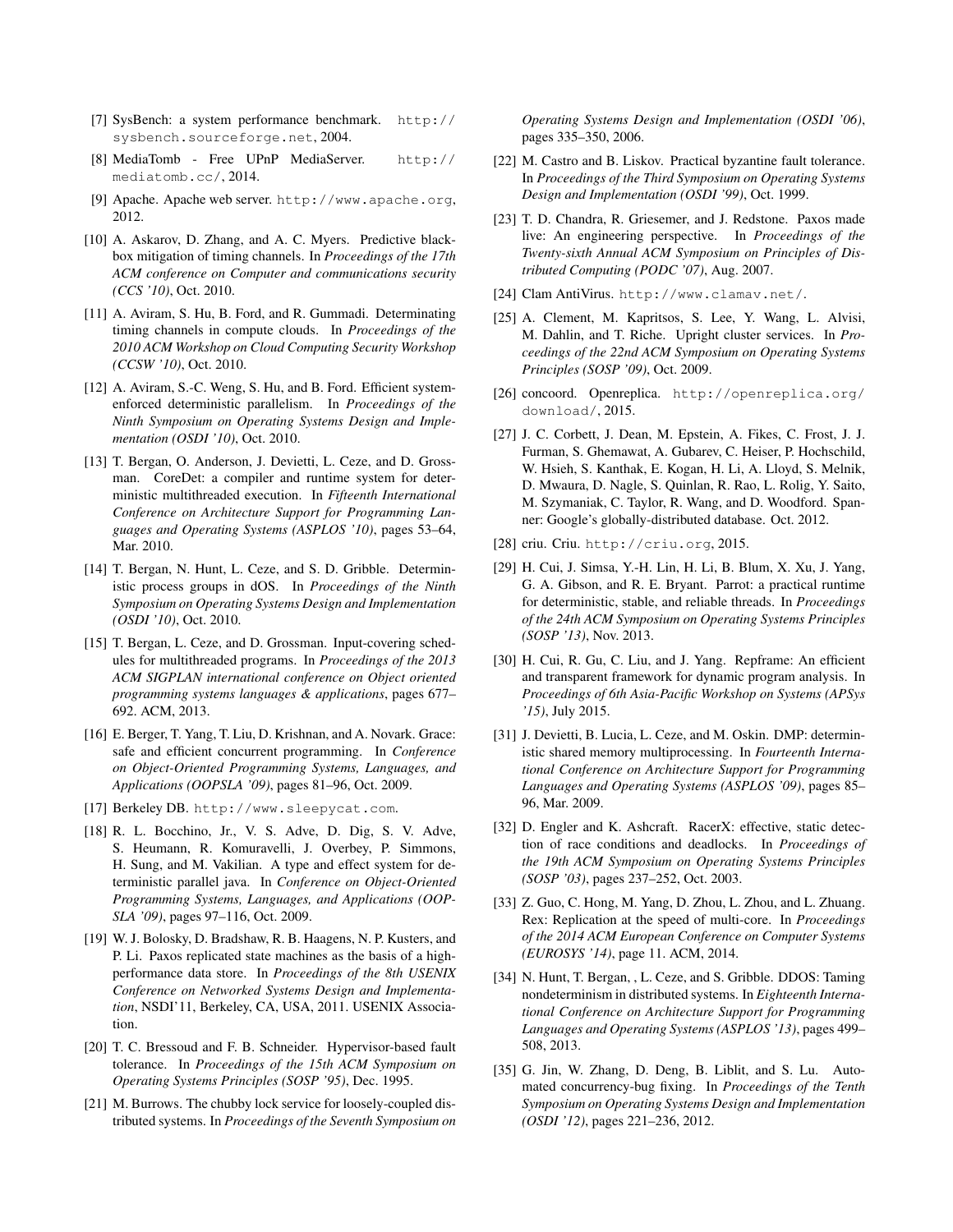- <span id="page-13-21"></span>[7] SysBench: a system performance benchmark. [http://](http://sysbench.sourceforge.net) [sysbench.sourceforge.net](http://sysbench.sourceforge.net), 2004.
- <span id="page-13-20"></span>[8] MediaTomb - Free UPnP MediaServer. [http://](http://mediatomb.cc/) [mediatomb.cc/](http://mediatomb.cc/), 2014.
- <span id="page-13-18"></span>[9] Apache. Apache web server. <http://www.apache.org>, 2012.
- <span id="page-13-16"></span>[10] A. Askarov, D. Zhang, and A. C. Myers. Predictive blackbox mitigation of timing channels. In *Proceedings of the 17th ACM conference on Computer and communications security (CCS '10)*, Oct. 2010.
- <span id="page-13-17"></span>[11] A. Aviram, S. Hu, B. Ford, and R. Gummadi. Determinating timing channels in compute clouds. In *Proceedings of the 2010 ACM Workshop on Cloud Computing Security Workshop (CCSW '10)*, Oct. 2010.
- <span id="page-13-25"></span>[12] A. Aviram, S.-C. Weng, S. Hu, and B. Ford. Efficient systemenforced deterministic parallelism. In *Proceedings of the Ninth Symposium on Operating Systems Design and Implementation (OSDI '10)*, Oct. 2010.
- <span id="page-13-6"></span>[13] T. Bergan, O. Anderson, J. Devietti, L. Ceze, and D. Grossman. CoreDet: a compiler and runtime system for deterministic multithreaded execution. In *Fifteenth International Conference on Architecture Support for Programming Languages and Operating Systems (ASPLOS '10)*, pages 53–64, Mar. 2010.
- <span id="page-13-4"></span>[14] T. Bergan, N. Hunt, L. Ceze, and S. D. Gribble. Deterministic process groups in dOS. In *Proceedings of the Ninth Symposium on Operating Systems Design and Implementation (OSDI '10)*, Oct. 2010.
- <span id="page-13-7"></span>[15] T. Bergan, L. Ceze, and D. Grossman. Input-covering schedules for multithreaded programs. In *Proceedings of the 2013 ACM SIGPLAN international conference on Object oriented programming systems languages & applications*, pages 677– 692. ACM, 2013.
- <span id="page-13-26"></span>[16] E. Berger, T. Yang, T. Liu, D. Krishnan, and A. Novark. Grace: safe and efficient concurrent programming. In *Conference on Object-Oriented Programming Systems, Languages, and Applications (OOPSLA '09)*, pages 81–96, Oct. 2009.
- <span id="page-13-14"></span>[17] Berkeley DB. <http://www.sleepycat.com>.
- <span id="page-13-8"></span>[18] R. L. Bocchino, Jr., V. S. Adve, D. Dig, S. V. Adve, S. Heumann, R. Komuravelli, J. Overbey, P. Simmons, H. Sung, and M. Vakilian. A type and effect system for deterministic parallel java. In *Conference on Object-Oriented Programming Systems, Languages, and Applications (OOP-SLA '09)*, pages 97–116, Oct. 2009.
- <span id="page-13-0"></span>[19] W. J. Bolosky, D. Bradshaw, R. B. Haagens, N. P. Kusters, and P. Li. Paxos replicated state machines as the basis of a highperformance data store. In *Proceedings of the 8th USENIX Conference on Networked Systems Design and Implementation*, NSDI'11, Berkeley, CA, USA, 2011. USENIX Association.
- <span id="page-13-23"></span>[20] T. C. Bressoud and F. B. Schneider. Hypervisor-based fault tolerance. In *Proceedings of the 15th ACM Symposium on Operating Systems Principles (SOSP '95)*, Dec. 1995.
- <span id="page-13-1"></span>[21] M. Burrows. The chubby lock service for loosely-coupled distributed systems. In *Proceedings of the Seventh Symposium on*

*Operating Systems Design and Implementation (OSDI '06)*, pages 335–350, 2006.

- <span id="page-13-12"></span>[22] M. Castro and B. Liskov. Practical byzantine fault tolerance. In *Proceedings of the Third Symposium on Operating Systems Design and Implementation (OSDI '99)*, Oct. 1999.
- <span id="page-13-2"></span>[23] T. D. Chandra, R. Griesemer, and J. Redstone. Paxos made live: An engineering perspective. In *Proceedings of the Twenty-sixth Annual ACM Symposium on Principles of Distributed Computing (PODC '07)*, Aug. 2007.
- <span id="page-13-19"></span>[24] Clam AntiVirus. <http://www.clamav.net/>.
- <span id="page-13-24"></span>[25] A. Clement, M. Kapritsos, S. Lee, Y. Wang, L. Alvisi, M. Dahlin, and T. Riche. Upright cluster services. In *Proceedings of the 22nd ACM Symposium on Operating Systems Principles (SOSP '09)*, Oct. 2009.
- <span id="page-13-13"></span>[26] concoord. Openreplica. [http://openreplica.org/](http://openreplica.org/download/) [download/](http://openreplica.org/download/), 2015.
- <span id="page-13-22"></span>[27] J. C. Corbett, J. Dean, M. Epstein, A. Fikes, C. Frost, J. J. Furman, S. Ghemawat, A. Gubarev, C. Heiser, P. Hochschild, W. Hsieh, S. Kanthak, E. Kogan, H. Li, A. Lloyd, S. Melnik, D. Mwaura, D. Nagle, S. Quinlan, R. Rao, L. Rolig, Y. Saito, M. Szymaniak, C. Taylor, R. Wang, and D. Woodford. Spanner: Google's globally-distributed database. Oct. 2012.
- <span id="page-13-11"></span>[28] criu. Criu. <http://criu.org>, 2015.
- <span id="page-13-10"></span>[29] H. Cui, J. Simsa, Y.-H. Lin, H. Li, B. Blum, X. Xu, J. Yang, G. A. Gibson, and R. E. Bryant. Parrot: a practical runtime for deterministic, stable, and reliable threads. In *Proceedings of the 24th ACM Symposium on Operating Systems Principles (SOSP '13)*, Nov. 2013.
- <span id="page-13-15"></span>[30] H. Cui, R. Gu, C. Liu, and J. Yang. Repframe: An efficient and transparent framework for dynamic program analysis. In *Proceedings of 6th Asia-Pacific Workshop on Systems (APSys '15)*, July 2015.
- <span id="page-13-9"></span>[31] J. Devietti, B. Lucia, L. Ceze, and M. Oskin. DMP: deterministic shared memory multiprocessing. In *Fourteenth International Conference on Architecture Support for Programming Languages and Operating Systems (ASPLOS '09)*, pages 85– 96, Mar. 2009.
- <span id="page-13-27"></span>[32] D. Engler and K. Ashcraft. RacerX: effective, static detection of race conditions and deadlocks. In *Proceedings of the 19th ACM Symposium on Operating Systems Principles (SOSP '03)*, pages 237–252, Oct. 2003.
- <span id="page-13-3"></span>[33] Z. Guo, C. Hong, M. Yang, D. Zhou, L. Zhou, and L. Zhuang. Rex: Replication at the speed of multi-core. In *Proceedings of the 2014 ACM European Conference on Computer Systems (EUROSYS '14)*, page 11. ACM, 2014.
- <span id="page-13-5"></span>[34] N. Hunt, T. Bergan, , L. Ceze, and S. Gribble. DDOS: Taming nondeterminism in distributed systems. In *Eighteenth International Conference on Architecture Support for Programming Languages and Operating Systems (ASPLOS '13)*, pages 499– 508, 2013.
- <span id="page-13-28"></span>[35] G. Jin, W. Zhang, D. Deng, B. Liblit, and S. Lu. Automated concurrency-bug fixing. In *Proceedings of the Tenth Symposium on Operating Systems Design and Implementation (OSDI '12)*, pages 221–236, 2012.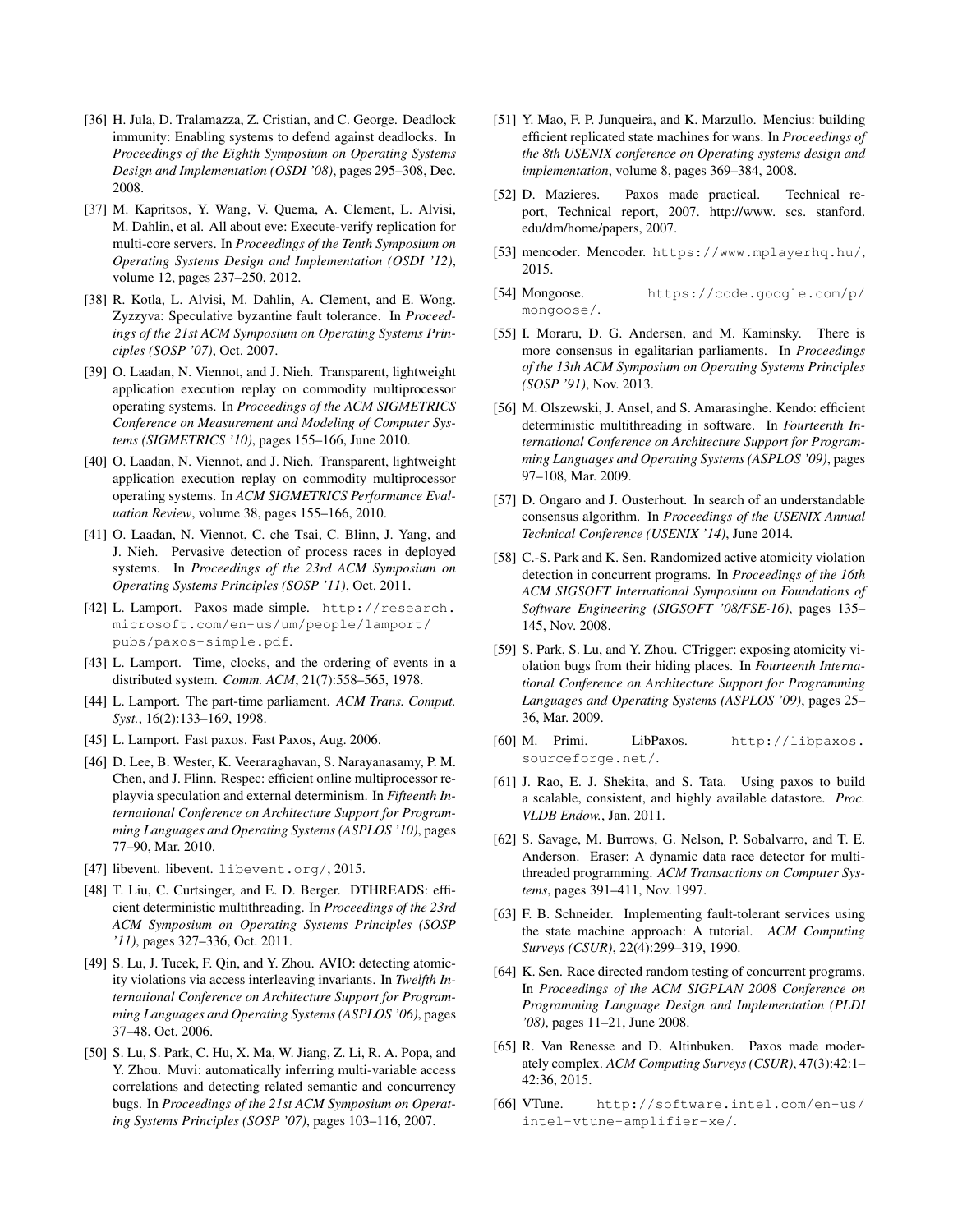- <span id="page-14-30"></span>[36] H. Jula, D. Tralamazza, Z. Cristian, and C. George. Deadlock immunity: Enabling systems to defend against deadlocks. In *Proceedings of the Eighth Symposium on Operating Systems Design and Implementation (OSDI '08)*, pages 295–308, Dec. 2008.
- <span id="page-14-3"></span>[37] M. Kapritsos, Y. Wang, V. Quema, A. Clement, L. Alvisi, M. Dahlin, et al. All about eve: Execute-verify replication for multi-core servers. In *Proceedings of the Tenth Symposium on Operating Systems Design and Implementation (OSDI '12)*, volume 12, pages 237–250, 2012.
- <span id="page-14-10"></span>[38] R. Kotla, L. Alvisi, M. Dahlin, A. Clement, and E. Wong. Zyzzyva: Speculative byzantine fault tolerance. In *Proceedings of the 21st ACM Symposium on Operating Systems Principles (SOSP '07)*, Oct. 2007.
- <span id="page-14-14"></span>[39] O. Laadan, N. Viennot, and J. Nieh. Transparent, lightweight application execution replay on commodity multiprocessor operating systems. In *Proceedings of the ACM SIGMETRICS Conference on Measurement and Modeling of Computer Systems (SIGMETRICS '10)*, pages 155–166, June 2010.
- <span id="page-14-12"></span>[40] O. Laadan, N. Viennot, and J. Nieh. Transparent, lightweight application execution replay on commodity multiprocessor operating systems. In *ACM SIGMETRICS Performance Evaluation Review*, volume 38, pages 155–166, 2010.
- <span id="page-14-15"></span>[41] O. Laadan, N. Viennot, C. che Tsai, C. Blinn, J. Yang, and J. Nieh. Pervasive detection of process races in deployed systems. In *Proceedings of the 23rd ACM Symposium on Operating Systems Principles (SOSP '11)*, Oct. 2011.
- <span id="page-14-0"></span>[42] L. Lamport. Paxos made simple. [http://research.](http://research.microsoft.com/en-us/um/people/lamport/pubs/paxos-simple.pdf) [microsoft.com/en-us/um/people/lamport/](http://research.microsoft.com/en-us/um/people/lamport/pubs/paxos-simple.pdf) [pubs/paxos-simple.pdf](http://research.microsoft.com/en-us/um/people/lamport/pubs/paxos-simple.pdf).
- <span id="page-14-8"></span>[43] L. Lamport. Time, clocks, and the ordering of events in a distributed system. *Comm. ACM*, 21(7):558–565, 1978.
- <span id="page-14-1"></span>[44] L. Lamport. The part-time parliament. *ACM Trans. Comput. Syst.*, 16(2):133–169, 1998.
- <span id="page-14-21"></span>[45] L. Lamport. Fast paxos. Fast Paxos, Aug. 2006.
- <span id="page-14-13"></span>[46] D. Lee, B. Wester, K. Veeraraghavan, S. Narayanasamy, P. M. Chen, and J. Flinn. Respec: efficient online multiprocessor replayvia speculation and external determinism. In *Fifteenth International Conference on Architecture Support for Programming Languages and Operating Systems (ASPLOS '10)*, pages 77–90, Mar. 2010.
- <span id="page-14-9"></span>[47] libevent. libevent. <libevent.org/>, 2015.
- <span id="page-14-19"></span>[48] T. Liu, C. Curtsinger, and E. D. Berger. DTHREADS: efficient deterministic multithreading. In *Proceedings of the 23rd ACM Symposium on Operating Systems Principles (SOSP '11)*, pages 327–336, Oct. 2011.
- <span id="page-14-24"></span>[49] S. Lu, J. Tucek, F. Qin, and Y. Zhou. AVIO: detecting atomicity violations via access interleaving invariants. In *Twelfth International Conference on Architecture Support for Programming Languages and Operating Systems (ASPLOS '06)*, pages 37–48, Oct. 2006.
- <span id="page-14-25"></span>[50] S. Lu, S. Park, C. Hu, X. Ma, W. Jiang, Z. Li, R. A. Popa, and Y. Zhou. Muvi: automatically inferring multi-variable access correlations and detecting related semantic and concurrency bugs. In *Proceedings of the 21st ACM Symposium on Operating Systems Principles (SOSP '07)*, pages 103–116, 2007.
- <span id="page-14-4"></span>[51] Y. Mao, F. P. Junqueira, and K. Marzullo. Mencius: building efficient replicated state machines for wans. In *Proceedings of the 8th USENIX conference on Operating systems design and implementation*, volume 8, pages 369–384, 2008.
- <span id="page-14-5"></span>[52] D. Mazieres. Paxos made practical. Technical report, Technical report, 2007. http://www. scs. stanford. edu/dm/home/papers, 2007.
- <span id="page-14-17"></span>[53] mencoder. Mencoder. <https://www.mplayerhq.hu/>, 2015.
- <span id="page-14-16"></span>[54] Mongoose. [https://code.google.com/p/](https://code.google.com/p/mongoose/) [mongoose/](https://code.google.com/p/mongoose/).
- <span id="page-14-22"></span>[55] I. Moraru, D. G. Andersen, and M. Kaminsky. There is more consensus in egalitarian parliaments. In *Proceedings of the 13th ACM Symposium on Operating Systems Principles (SOSP '91)*, Nov. 2013.
- <span id="page-14-7"></span>[56] M. Olszewski, J. Ansel, and S. Amarasinghe. Kendo: efficient deterministic multithreading in software. In *Fourteenth International Conference on Architecture Support for Programming Languages and Operating Systems (ASPLOS '09)*, pages 97–108, Mar. 2009.
- <span id="page-14-23"></span>[57] D. Ongaro and J. Ousterhout. In search of an understandable consensus algorithm. In *Proceedings of the USENIX Annual Technical Conference (USENIX '14)*, June 2014.
- <span id="page-14-27"></span>[58] C.-S. Park and K. Sen. Randomized active atomicity violation detection in concurrent programs. In *Proceedings of the 16th ACM SIGSOFT International Symposium on Foundations of Software Engineering (SIGSOFT '08/FSE-16)*, pages 135– 145, Nov. 2008.
- <span id="page-14-28"></span>[59] S. Park, S. Lu, and Y. Zhou. CTrigger: exposing atomicity violation bugs from their hiding places. In *Fourteenth International Conference on Architecture Support for Programming Languages and Operating Systems (ASPLOS '09)*, pages 25– 36, Mar. 2009.
- <span id="page-14-11"></span>[60] M. Primi. LibPaxos. [http://libpaxos.](http://libpaxos.sourceforge.net/) [sourceforge.net/](http://libpaxos.sourceforge.net/).
- <span id="page-14-6"></span>[61] J. Rao, E. J. Shekita, and S. Tata. Using paxos to build a scalable, consistent, and highly available datastore. *Proc. VLDB Endow.*, Jan. 2011.
- <span id="page-14-26"></span>[62] S. Savage, M. Burrows, G. Nelson, P. Sobalvarro, and T. E. Anderson. Eraser: A dynamic data race detector for multithreaded programming. *ACM Transactions on Computer Systems*, pages 391–411, Nov. 1997.
- <span id="page-14-20"></span>[63] F. B. Schneider. Implementing fault-tolerant services using the state machine approach: A tutorial. *ACM Computing Surveys (CSUR)*, 22(4):299–319, 1990.
- <span id="page-14-29"></span>[64] K. Sen. Race directed random testing of concurrent programs. In *Proceedings of the ACM SIGPLAN 2008 Conference on Programming Language Design and Implementation (PLDI '08)*, pages 11–21, June 2008.
- <span id="page-14-2"></span>[65] R. Van Renesse and D. Altinbuken. Paxos made moderately complex. *ACM Computing Surveys (CSUR)*, 47(3):42:1– 42:36, 2015.
- <span id="page-14-18"></span>[66] VTune. [http://software.intel.com/en-us/](http://software.intel.com/en-us/intel-vtune-amplifier-xe/) [intel-vtune-amplifier-xe/](http://software.intel.com/en-us/intel-vtune-amplifier-xe/).